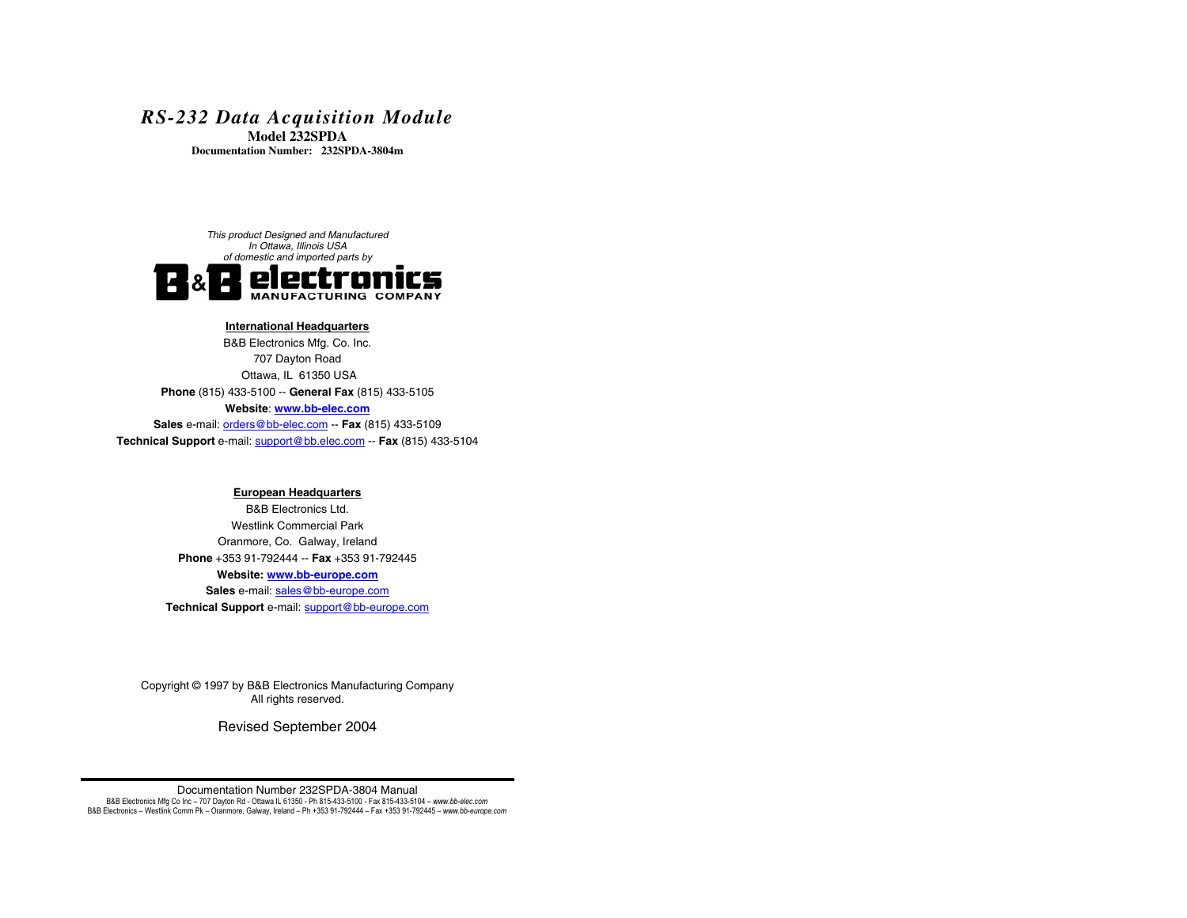# *RS-232 Data Acquisition Module*

**Model 232SPDA Documentation Number: 232SPDA-3804m**



#### **International Headquarters**

B&B Electronics Mfg. Co. Inc. 707 Dayton Road Ottawa, IL 61350 USA **Phone** (815) 433-5100 -- **General Fax** (815) 433-5105 **Website**: **www.bb-elec.comSales** e-mail: orders@bb-elec.com -- **Fax** (815) 433-5109 **Technical Support** e-mail: support@bb.elec.com -- **Fax** (815) 433-5104

#### **European Headquarters**

B&B Electronics Ltd. Westlink Commercial Park Oranmore, Co. Galway, Ireland **Phone** +353 91-792444 -- **Fax** +353 91-792445 **Website: www.bb-europe.com** Sales e-mail: sales@bb-europe.com **Technical Support** e-mail: support@bb-europe.com

Copyright © 1997 by B&B Electronics Manufacturing Company All rights reserved.

Revised September 2004

#### Documentation Number 232SPDA-3804 Manual

B&B Electronics Mfg Co Inc - 707 Dayton Rd - Ottawa IL 61350 - Ph 815-433-5100 - Fax 815-433-5104 - www.bb-elec.com B&B Electronics - Westlink Comm Pk - Oranmore, Galway, Ireland - Ph +353 91-792444 - Fax +353 91-792445 - www.bb-europe.com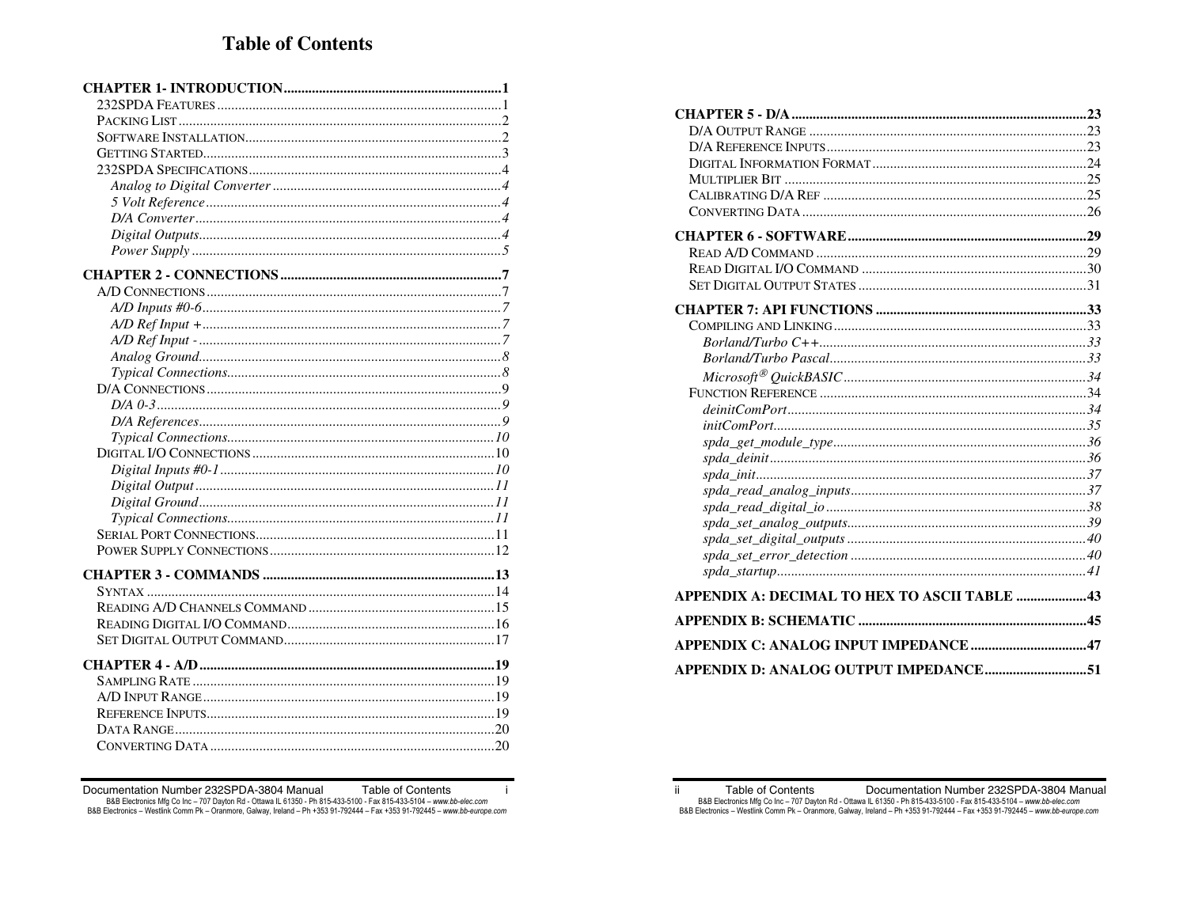| APPENDIX A: DECIMAL TO HEX TO ASCII TABLE 43 |  |
|----------------------------------------------|--|
|                                              |  |
|                                              |  |
| APPENDIX D: ANALOG OUTPUT IMPEDANCE51        |  |

B&B Electronics Mfg Co Inc - 707 Dayton Rd - Ottawa IL 61350 - Ph 815-433-5100 - Fax 815-433-5104 - www.bb-elec.com<br>B&B Electronics - Westlink Comm Pk - Oranmore, Galway, Ireland - Ph +353 91-792444 - Fax +353 91-792445 -

Table of Contents

 $\mathbf{i}$ 

Documentation Number 232SPDA-3804 Manual

Table of Contents Documentation Number 232SPDA-3804 Manual ii. B&B Electronics Mfg Co Inc - 707 Dayton Rd - Ottawa IL 61350 - Ph 815-433-5100 - Fax 815-433-5104 - www.bb-elec.com<br>B&B Electronics - Westlink Comm Pk - Oranmore, Galway, Ireland - Ph +353 91-792444 - Fax +353 91-792445 -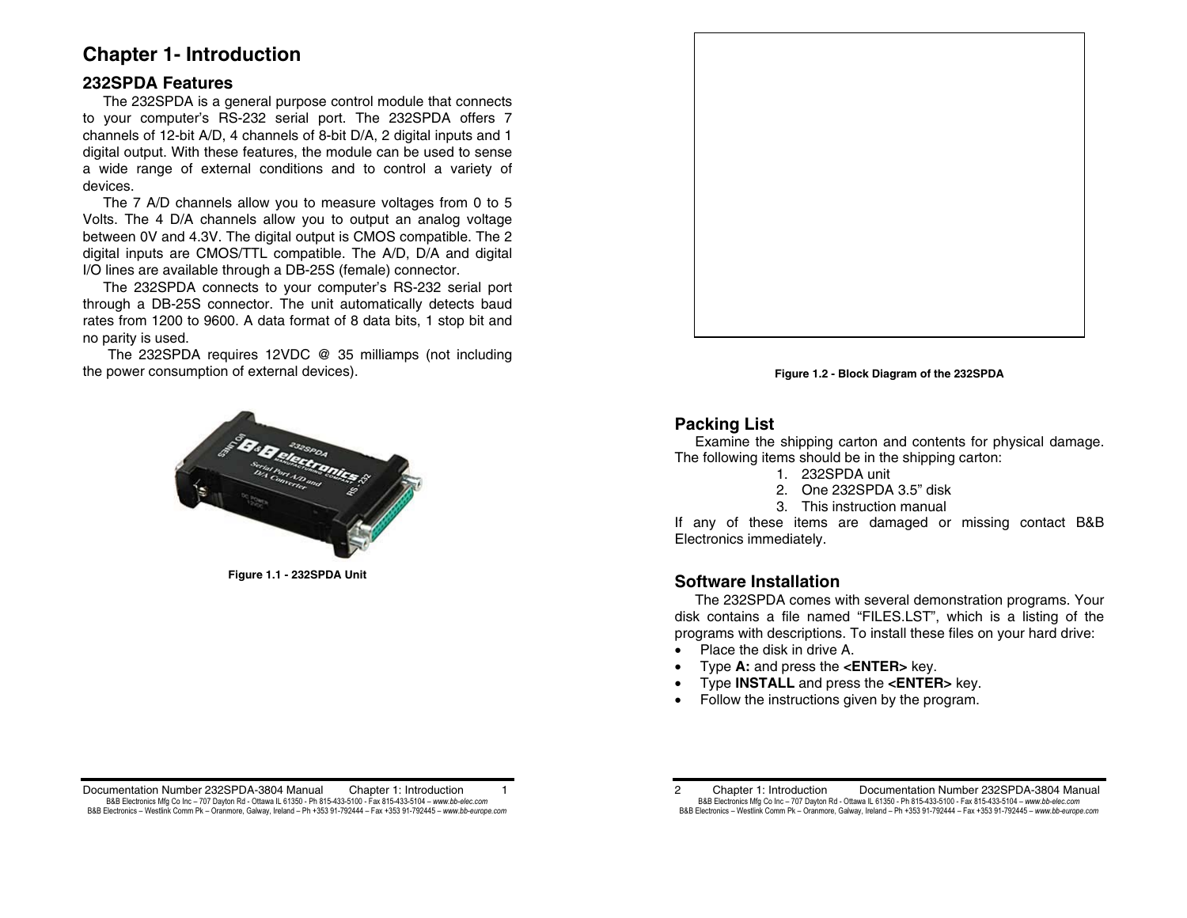# **Chapter 1- Introduction**

# **232SPDA Features**

 The 232SPDA is a general purpose control module that connects to your computer's RS-232 serial port. The 232SPDA offers 7 channels of 12-bit A/D, 4 channels of 8-bit D/A, 2 digital inputs and 1 digital output. With these features, the module can be used to sense a wide range of external conditions and to control a variety of devices.

 The 7 A/D channels allow you to measure voltages from 0 to 5 Volts. The 4 D/A channels allow you to output an analog voltage between 0V and 4.3V. The digital output is CMOS compatible. The 2 digital inputs are CMOS/TTL compatible. The A/D, D/A and digital I/O lines are available through a DB-25S (female) connector.

 The 232SPDA connects to your computer's RS-232 serial port through a DB-25S connector. The unit automatically detects baud rates from 1200 to 9600. A data format of 8 data bits, 1 stop bit and no parity is used.

The 232SPDA requires 12VDC @ 35 milliamps (not including the power consumption of external devices).



**Figure 1.1 - 232SPDA Unit** 



**Figure 1.2 - Block Diagram of the 232SPDA** 

# **Packing List**

 Examine the shipping carton and contents for physical damage. The following items should be in the shipping carton:

- 1. 232SPDA unit
- 2. One 232SPDA 3.5" disk
- 3. This instruction manual

If any of these items are damaged or missing contact B&B Electronics immediately.

# **Software Installation**

 The 232SPDA comes with several demonstration programs. Your disk contains a file named "FILES.LST", which is a listing of the programs with descriptions. To install these files on your hard drive:

- Place the disk in drive A.
- Type **A:** and press the **<ENTER>** key.
- Type **INSTALL** and press the **<ENTER>** key.
- Follow the instructions given by the program.

Documentation Number 232SPDA-3804 Manual Chapter 1: Introduction 1 B&B Electronics Mfg Co Inc – 707 Dayton Rd - Ottawa IL 61350 - Ph 815-433-5100 - Fax 815-433-5104 – *www.bb-elec.com* B&B Electronics - Westlink Comm Pk - Oranmore, Galway, Ireland - Ph +353 91-792444 - Fax +353 91-792445 - www.bb-europe.com

<sup>2</sup> Chapter 1: Introduction Documentation Number 232SPDA-3804 Manual B&B Electronics Mfg Co Inc – 707 Dayton Rd - Ottawa IL 61350 - Ph 815-433-5100 - Fax 815-433-5104 – *www.bb-elec.com* B&B Electronics - Westlink Comm Pk - Oranmore, Galway, Ireland - Ph +353 91-792444 - Fax +353 91-792445 - www.bb-europe.com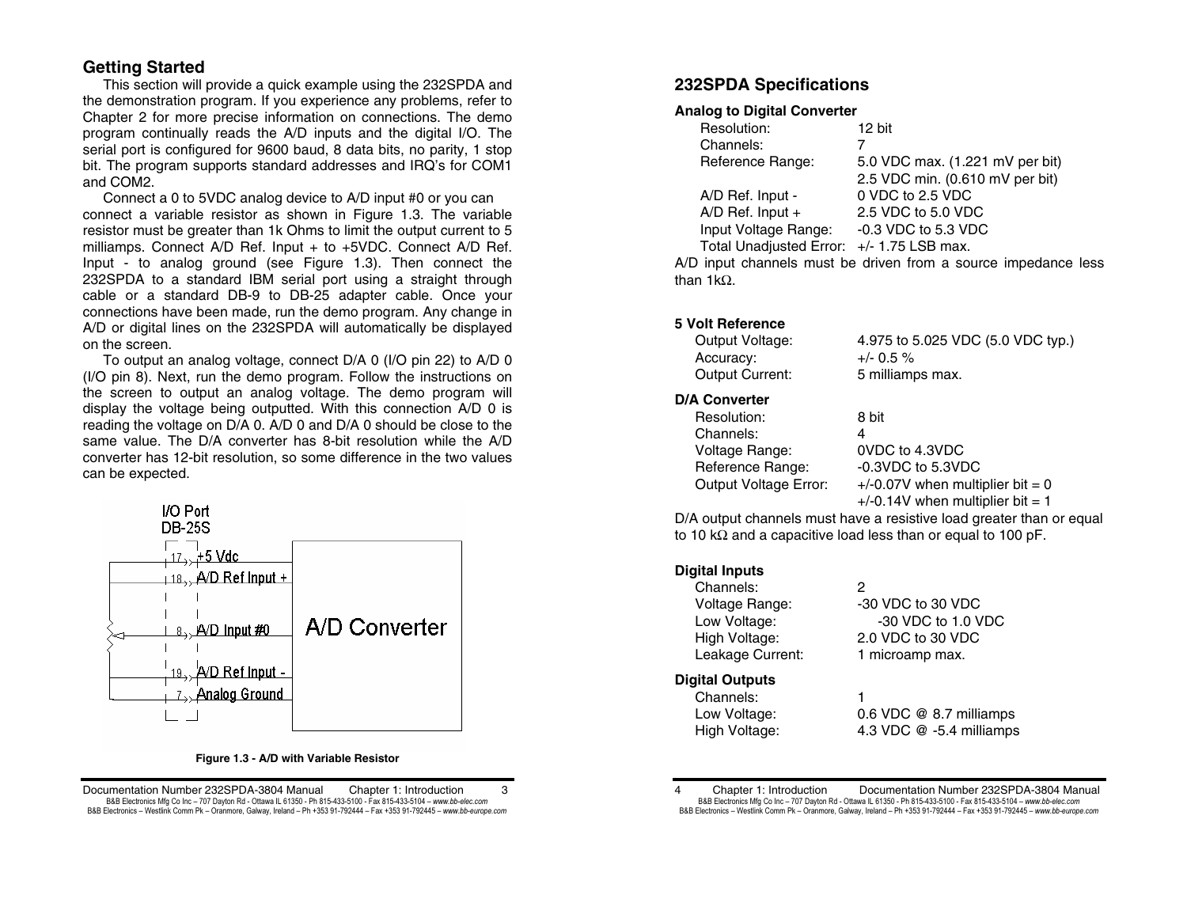## **Getting Started**

 This section will provide a quick example using the 232SPDA and the demonstration program. If you experience any problems, refer to Chapter 2 for more precise information on connections. The demo program continually reads the A/D inputs and the digital I/O. The serial port is configured for 9600 baud, 8 data bits, no parity, 1 stop bit. The program supports standard addresses and IRQ's for COM1 and COM2.

Connect a 0 to 5VDC analog device to A/D input #0 or you can connect a variable resistor as shown in Figure 1.3. The variable resistor must be greater than 1k Ohms to limit the output current to 5 milliamps. Connect A/D Ref. Input + to +5VDC. Connect A/D Ref. Input - to analog ground (see Figure 1.3). Then connect the 232SPDA to a standard IBM serial port using a straight through cable or a standard DB-9 to DB-25 adapter cable. Once your connections have been made, run the demo program. Any change in A/D or digital lines on the 232SPDA will automatically be displayed on the screen.

 To output an analog voltage, connect D/A 0 (I/O pin 22) to A/D 0 (I/O pin 8). Next, run the demo program. Follow the instructions on the screen to output an analog voltage. The demo program will display the voltage being outputted. With this connection A/D 0 is reading the voltage on D/A 0. A/D 0 and D/A 0 should be close to the same value. The D/A converter has 8-bit resolution while the A/D converter has 12-bit resolution, so some difference in the two values can be expected.



#### **Figure 1.3 - A/D with Variable Resistor**

Documentation Number 232SPDA-3804 Manual Chapter 1: Introduction 3 B&B Electronics Mfg Co Inc – 707 Dayton Rd - Ottawa IL 61350 - Ph 815-433-5100 - Fax 815-433-5104 – *www.bb-elec.com* B&B Electronics - Westlink Comm Pk - Oranmore, Galway, Ireland - Ph +353 91-792444 - Fax +353 91-792445 - www.bb-europe.com

# **232SPDA Specifications**

## **Analog to Digital Converter**

| Resolution:                               | 12 bit                          |
|-------------------------------------------|---------------------------------|
| Channels:                                 |                                 |
| Reference Range:                          | 5.0 VDC max. (1.221 mV per bit) |
|                                           | 2.5 VDC min. (0.610 mV per bit) |
| A/D Ref. Input -                          | 0 VDC to 2.5 VDC                |
| A/D Ref. Input +                          | 2.5 VDC to 5.0 VDC              |
| Input Voltage Range:                      | $-0.3$ VDC to 5.3 VDC           |
| Total Unadjusted Error: +/- 1.75 LSB max. |                                 |
|                                           |                                 |

A/D input channels must be driven from a source impedance less than 1kΩ.

### **5 Volt Reference**

| Output Voltage:        | 4.975 to 5.025 VDC (5.0 VDC typ.) |
|------------------------|-----------------------------------|
| Accuracy:              | $+/- 0.5 \%$                      |
| <b>Output Current:</b> | 5 milliamps max.                  |
| <b>N/A A</b>           |                                   |

# **D/A Converter**

| Resolution:                  | 8 bit                              |
|------------------------------|------------------------------------|
| Channels:                    | Δ                                  |
| Voltage Range:               | 0VDC to 4.3VDC                     |
| Reference Range:             | $-0.3$ VDC to 5.3VDC               |
| <b>Output Voltage Error:</b> | $+/-0.07V$ when multiplier bit = 0 |
|                              | $+/-0.14V$ when multiplier bit = 1 |

D/A output channels must have a resistive load greater than or equal to 10 kΩ and a capacitive load less than or equal to 100 pF.

### **Digital Inputs**

| Channels:              | 2                        |
|------------------------|--------------------------|
| Voltage Range:         | -30 VDC to 30 VDC        |
| Low Voltage:           | -30 VDC to 1.0 VDC       |
| High Voltage:          | 2.0 VDC to 30 VDC        |
| Leakage Current:       | 1 microamp max.          |
| <b>Digital Outputs</b> |                          |
| Channels:              | 1                        |
| Low Voltage:           | 0.6 VDC @ 8.7 milliamps  |
| High Voltage:          | 4.3 VDC @ -5.4 milliamps |
|                        |                          |

4 Chapter 1: Introduction Documentation Number 232SPDA-3804 Manual B&B Electronics Mfg Co Inc – 707 Dayton Rd - Ottawa IL 61350 - Ph 815-433-5100 - Fax 815-433-5104 – *www.bb-elec.com* B&B Electronics - Westlink Comm Pk - Oranmore, Galway, Ireland - Ph +353 91-792444 - Fax +353 91-792445 - www.bb-europe.com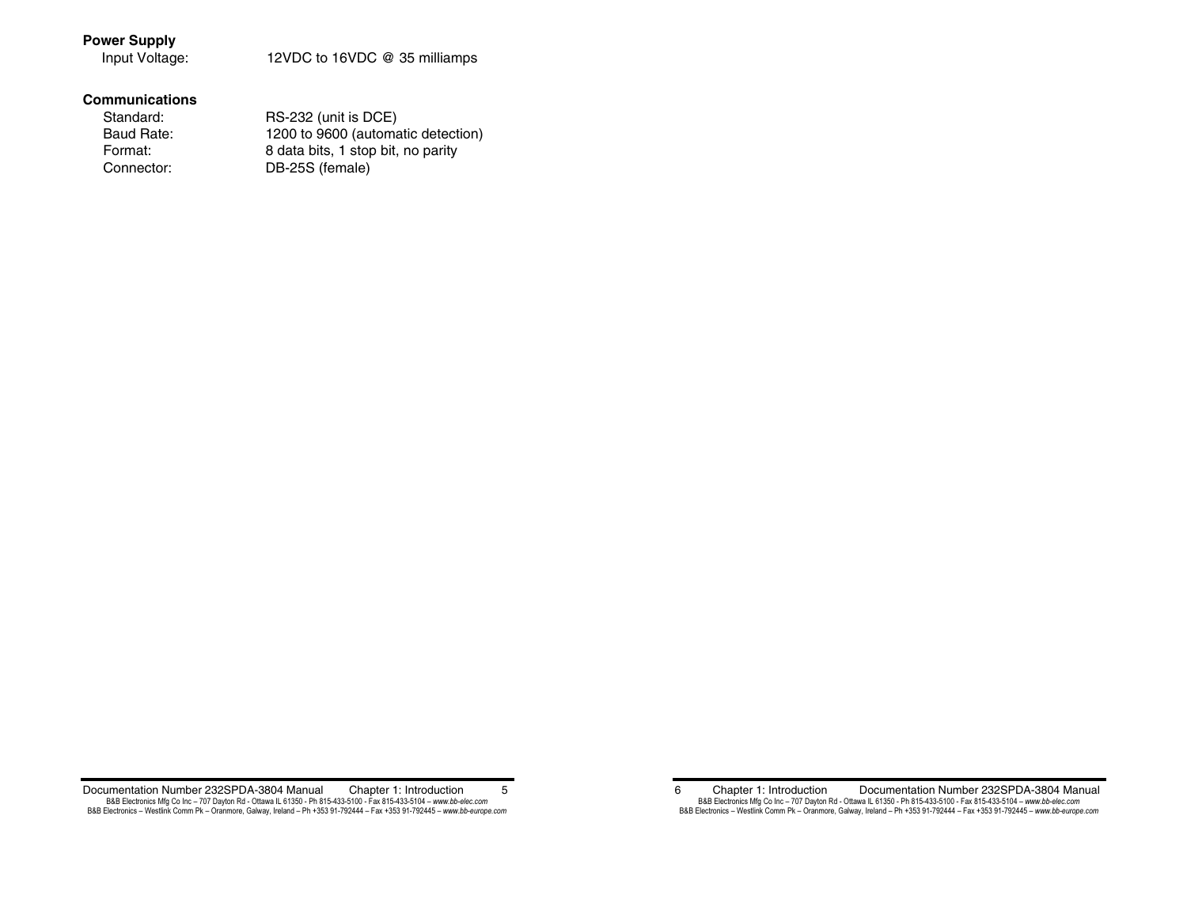## **Power Supply**

Input Voltage: 12VDC to 16VDC @ 35 milliamps

### **Communications**

| Standard:  | RS-232 (unit is DCE)               |
|------------|------------------------------------|
| Baud Rate: | 1200 to 9600 (automatic detection) |
| Format:    | 8 data bits, 1 stop bit, no parity |
| Connector: | DB-25S (female)                    |
|            |                                    |

Documentation Number 232SPDA-3804 Manual Chapter 1: Introduction 5 B&B Electronics Mfg Co Inc – 707 Dayton Rd - Ottawa IL 61350 - Ph 815-433-5100 - Fax 815-433-5104 – www.*bb-elec.com*<br>B&B Electronics – Westlink Comm Pk – Oranmore, Galway, Ireland – Ph +353 91-792444 – Fax +353 91-792445

6 Chapter 1: Introduction Documentation Number 232SPDA-3804 Manual B&B Electronics Mfg Co Inc – 707 Dayton Rd - Ottawa IL 61350 - Ph 815-433-5100 - Fax 815-433-5104 – *www.bb-elec.com*<br>B&B Electronics – Westlink Comm Pk – Oranmore, Galway, Ireland – Ph +353 91-792444 – Fax +353 91-792445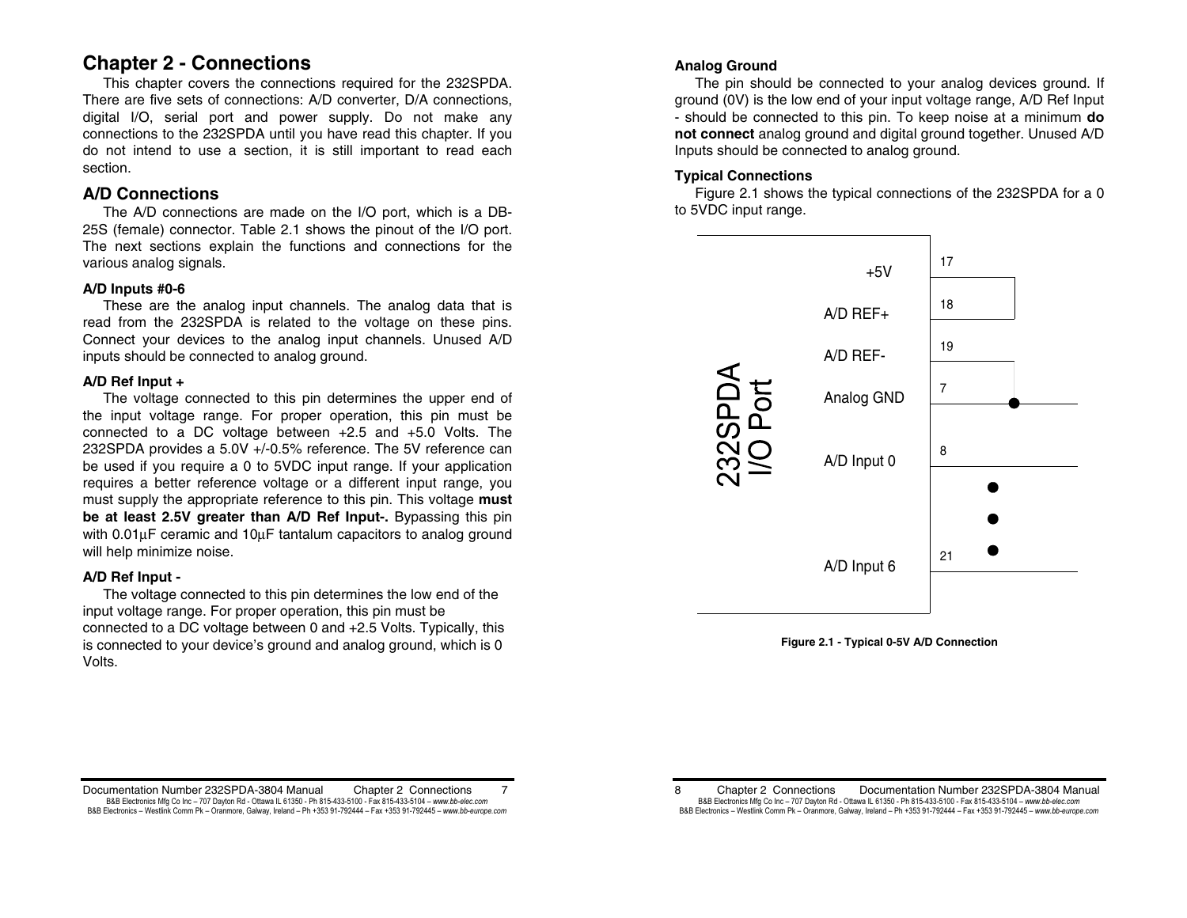# **Chapter 2 - Connections**

 This chapter covers the connections required for the 232SPDA. There are five sets of connections: A/D converter, D/A connections, digital I/O, serial port and power supply. Do not make any connections to the 232SPDA until you have read this chapter. If you do not intend to use a section, it is still important to read each section.

# **A/D Connections**

 The A/D connections are made on the I/O port, which is a DB-25S (female) connector. Table 2.1 shows the pinout of the I/O port. The next sections explain the functions and connections for the various analog signals.

## **A/D Inputs #0-6**

 These are the analog input channels. The analog data that is read from the 232SPDA is related to the voltage on these pins. Connect your devices to the analog input channels. Unused A/D inputs should be connected to analog ground.

## **A/D Ref Input +**

 The voltage connected to this pin determines the upper end of the input voltage range. For proper operation, this pin must be connected to a DC voltage between +2.5 and +5.0 Volts. The 232SPDA provides a 5.0V +/-0.5% reference. The 5V reference can be used if you require a 0 to 5VDC input range. If your application requires a better reference voltage or a different input range, you must supply the appropriate reference to this pin. This voltage **must be at least 2.5V greater than A/D Ref Input-.** Bypassing this pin with 0.01µF ceramic and 10µF tantalum capacitors to analog ground will help minimize noise.

## **A/D Ref Input -**

 The voltage connected to this pin determines the low end of the input voltage range. For proper operation, this pin must be connected to a DC voltage between 0 and +2.5 Volts. Typically, this is connected to your device's ground and analog ground, which is 0 Volts.

## **Analog Ground**

The pin should be connected to your analog devices ground. If ground (0V) is the low end of your input voltage range, A/D Ref Input - should be connected to this pin. To keep noise at a minimum **do not connect** analog ground and digital ground together. Unused A/D Inputs should be connected to analog ground.

## **Typical Connections**

 Figure 2.1 shows the typical connections of the 232SPDA for a 0 to 5VDC input range.





Documentation Number 232SPDA-3804 Manual Chapter 2 Connections 7 B&B Electronics Mfg Co Inc – 707 Dayton Rd - Ottawa IL 61350 - Ph 815-433-5100 - Fax 815-433-5104 – *www.bb-elec.com* B&B Electronics - Westlink Comm Pk - Oranmore, Galway, Ireland - Ph +353 91-792444 - Fax +353 91-792445 - www.bb-europe.com

8 Chapter 2 Connections Documentation Number 232SPDA-3804 Manual B&B Electronics Mfg Co Inc – 707 Dayton Rd - Ottawa IL 61350 - Ph 815-433-5100 - Fax 815-433-5104 – *www.bb-elec.com* B&B Electronics - Westlink Comm Pk - Oranmore, Galway, Ireland - Ph +353 91-792444 - Fax +353 91-792445 - www.bb-europe.com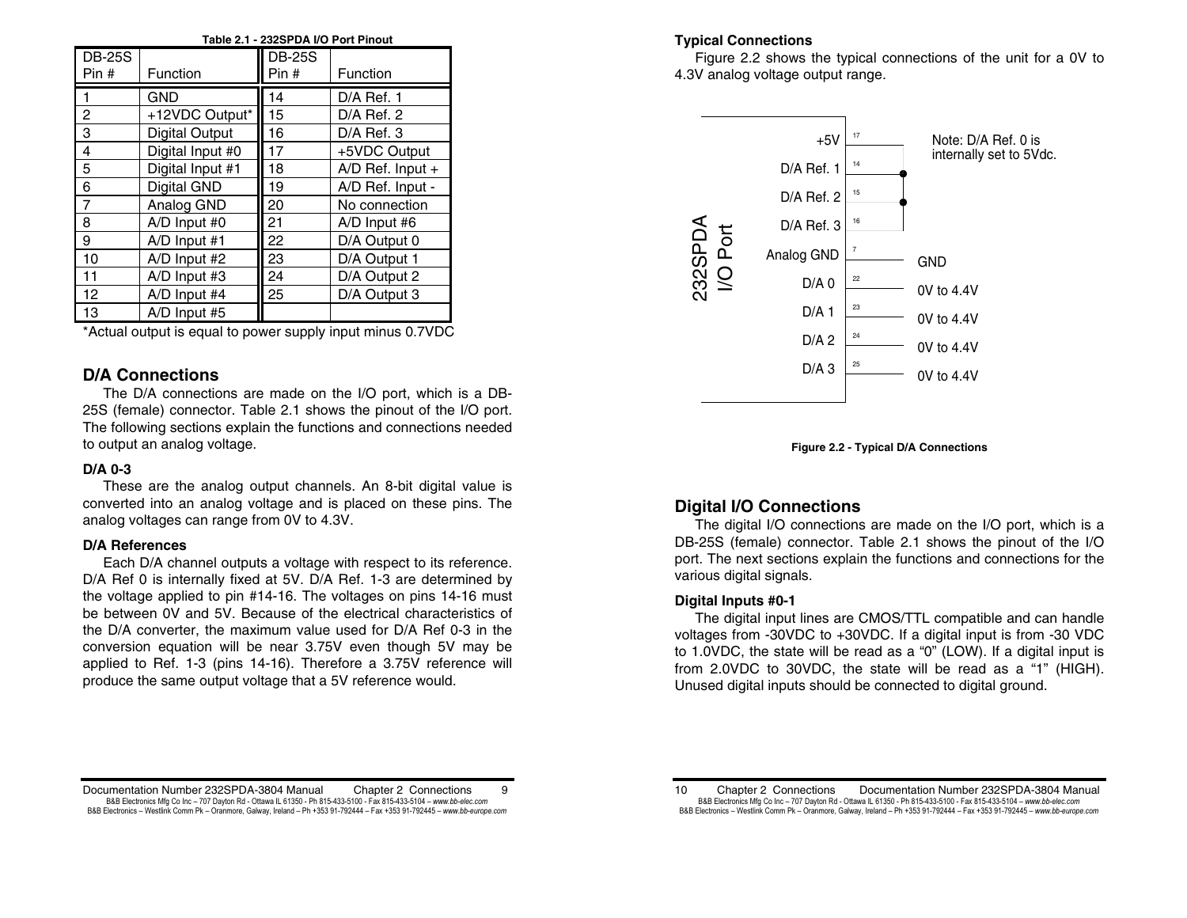| Table 2.1 - 232SPDA I/O Port Pinout |                       |                        |                  |
|-------------------------------------|-----------------------|------------------------|------------------|
| <b>DB-25S</b><br>Pin#               | Function              | <b>DB-25S</b><br>Pin # | Function         |
|                                     | <b>GND</b>            | 14                     | $D/A$ Ref. 1     |
| $\overline{c}$                      | +12VDC Output*        | 15                     | $D/A$ Ref. 2     |
| 3                                   | <b>Digital Output</b> | 16                     | $D/A$ Ref. 3     |
| 4                                   | Digital Input #0      | 17                     | +5VDC Output     |
| $\overline{5}$                      | Digital Input #1      | 18                     | A/D Ref. Input + |
| 6                                   | Digital GND           | 19                     | A/D Ref. Input - |
| $\overline{7}$                      | Analog GND            | 20                     | No connection    |
| 8                                   | A/D Input #0          | 21                     | A/D Input #6     |
| 9                                   | $A/D$ Input #1        | 22                     | D/A Output 0     |
| 10                                  | A/D Input #2          | 23                     | D/A Output 1     |
| 11                                  | $A/D$ Input #3        | 24                     | D/A Output 2     |
| 12                                  | A/D Input #4          | 25                     | D/A Output 3     |
| 13                                  | A/D Input #5          |                        |                  |

\*Actual output is equal to power supply input minus 0.7VDC

## **D/A Connections**

 The D/A connections are made on the I/O port, which is a DB-25S (female) connector. Table 2.1 shows the pinout of the I/O port. The following sections explain the functions and connections needed to output an analog voltage.

### **D/A 0-3**

 These are the analog output channels. An 8-bit digital value is converted into an analog voltage and is placed on these pins. The analog voltages can range from 0V to 4.3V.

### **D/A References**

 Each D/A channel outputs a voltage with respect to its reference. D/A Ref 0 is internally fixed at 5V. D/A Ref. 1-3 are determined by the voltage applied to pin #14-16. The voltages on pins 14-16 must be between 0V and 5V. Because of the electrical characteristics of the D/A converter, the maximum value used for D/A Ref 0-3 in the conversion equation will be near 3.75V even though 5V may be applied to Ref. 1-3 (pins 14-16). Therefore a 3.75V reference will produce the same output voltage that a 5V reference would.

## **Typical Connections**

 Figure 2.2 shows the typical connections of the unit for a 0V to 4.3V analog voltage output range.





## **Digital I/O Connections**

 The digital I/O connections are made on the I/O port, which is a DB-25S (female) connector. Table 2.1 shows the pinout of the I/O port. The next sections explain the functions and connections for the various digital signals.

## **Digital Inputs #0-1**

 The digital input lines are CMOS/TTL compatible and can handle voltages from -30VDC to +30VDC. If a digital input is from -30 VDC to 1.0VDC, the state will be read as a "0" (LOW). If a digital input is from 2.0VDC to 30VDC, the state will be read as a "1" (HIGH). Unused digital inputs should be connected to digital ground.

Documentation Number 232SPDA-3804 Manual Chapter 2 Connections 9 B&B Electronics Mfg Co Inc – 707 Dayton Rd - Ottawa IL 61350 - Ph 815-433-5100 - Fax 815-433-5104 – *www.bb-elec.com* B&B Electronics - Westlink Comm Pk - Oranmore, Galway, Ireland - Ph +353 91-792444 - Fax +353 91-792445 - www.bb-europe.com

<sup>10</sup> Chapter 2 Connections Documentation Number 232SPDA-3804 Manual B&B Electronics Mfg Co Inc – 707 Dayton Rd - Ottawa IL 61350 - Ph 815-433-5100 - Fax 815-433-5104 – *www.bb-elec.com* B&B Electronics - Westlink Comm Pk - Oranmore, Galway, Ireland - Ph +353 91-792444 - Fax +353 91-792445 - www.bb-europe.com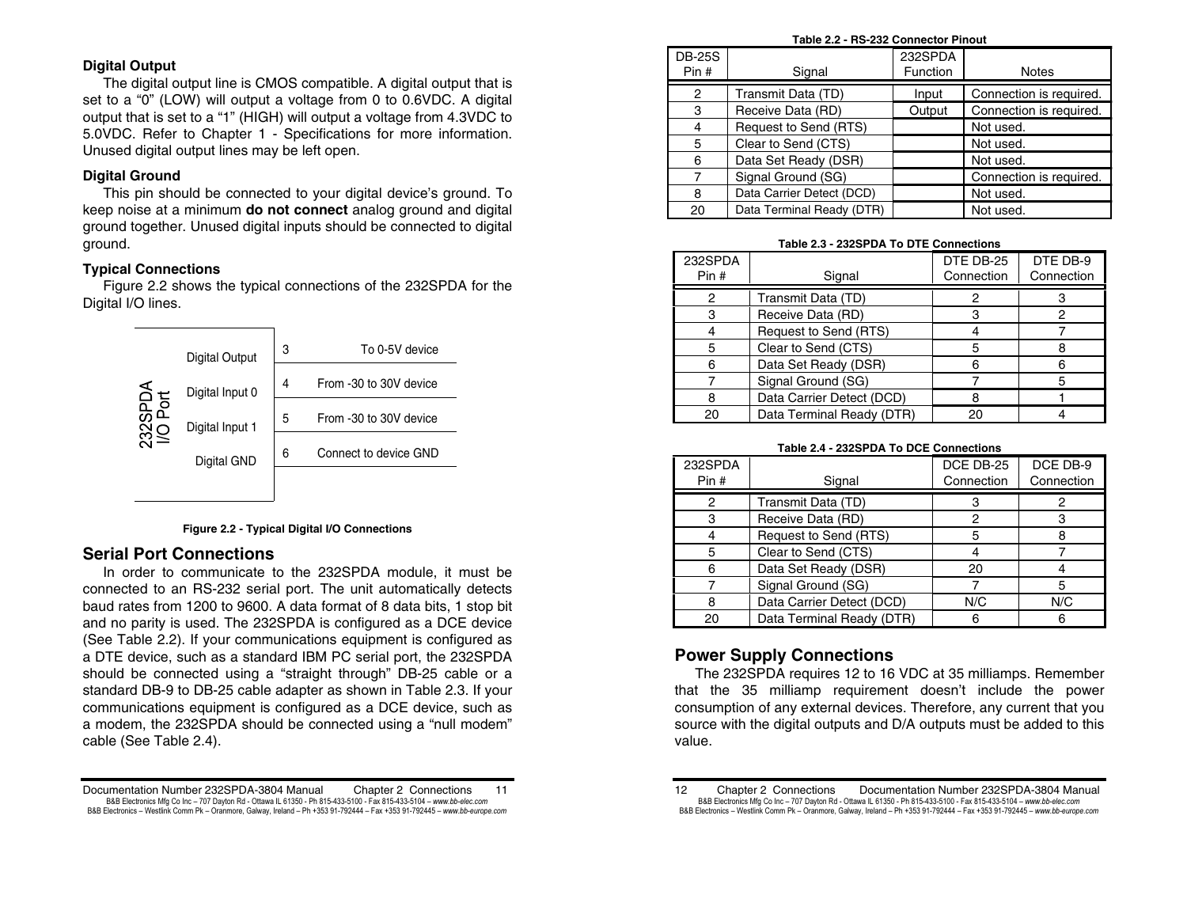## **Digital Output**

 The digital output line is CMOS compatible. A digital output that is set to a "0" (LOW) will output a voltage from 0 to 0.6VDC. A digital output that is set to a "1" (HIGH) will output a voltage from 4.3VDC to 5.0VDC. Refer to Chapter 1 - Specifications for more information. Unused digital output lines may be left open.

## **Digital Ground**

 This pin should be connected to your digital device's ground. To keep noise at a minimum **do not connect** analog ground and digital ground together. Unused digital inputs should be connected to digital ground.

### **Typical Connections**

 Figure 2.2 shows the typical connections of the 232SPDA for the Digital I/O lines.



#### **Figure 2.2 - Typical Digital I/O Connections**

## **Serial Port Connections**

 In order to communicate to the 232SPDA module, it must be connected to an RS-232 serial port. The unit automatically detects baud rates from 1200 to 9600. A data format of 8 data bits, 1 stop bit and no parity is used. The 232SPDA is configured as a DCE device (See Table 2.2). If your communications equipment is configured as a DTE device, such as a standard IBM PC serial port, the 232SPDA should be connected using a "straight through" DB-25 cable or a standard DB-9 to DB-25 cable adapter as shown in Table 2.3. If your communications equipment is configured as a DCE device, such as a modem, the 232SPDA should be connected using a "null modem" cable (See Table 2.4).

#### **Table 2.2 - RS-232 Connector Pinout**

| <b>DB-25S</b><br>Pin# | Signal                    | 232SPDA<br>Function | <b>Notes</b>            |
|-----------------------|---------------------------|---------------------|-------------------------|
|                       |                           |                     |                         |
| 2                     | Transmit Data (TD)        | Input               | Connection is required. |
| 3                     | Receive Data (RD)         | Output              | Connection is required. |
|                       | Request to Send (RTS)     |                     | Not used.               |
| 5                     | Clear to Send (CTS)       |                     | Not used.               |
| 6                     | Data Set Ready (DSR)      |                     | Not used.               |
| 7                     | Signal Ground (SG)        |                     | Connection is required. |
| 8                     | Data Carrier Detect (DCD) |                     | Not used.               |
| 20                    | Data Terminal Ready (DTR) |                     | Not used.               |

#### **Table 2.3 - 232SPDA To DTE Connections**

| 232SPDA |                           | DTE DB-25  | DTE DB-9   |
|---------|---------------------------|------------|------------|
| Pin#    | Signal                    | Connection | Connection |
| 2       | Transmit Data (TD)        |            |            |
| 3       | Receive Data (RD)         |            |            |
|         | Request to Send (RTS)     |            |            |
| 5       | Clear to Send (CTS)       |            |            |
| 6       | Data Set Ready (DSR)      |            |            |
|         | Signal Ground (SG)        |            | 5          |
|         | Data Carrier Detect (DCD) |            |            |
| 20      | Data Terminal Ready (DTR) | 20         |            |

#### **Table 2.4 - 232SPDA To DCE Connections**

| 232SPDA<br>Pin# | Signal                    | DCE DB-25<br>Connection | DCE DB-9<br>Connection |
|-----------------|---------------------------|-------------------------|------------------------|
| 2               | Transmit Data (TD)        |                         |                        |
|                 | Receive Data (RD)         | 2                       |                        |
|                 | Request to Send (RTS)     | 5                       |                        |
|                 | Clear to Send (CTS)       |                         |                        |
|                 | Data Set Ready (DSR)      | 20                      |                        |
|                 | Signal Ground (SG)        |                         |                        |
|                 | Data Carrier Detect (DCD) | N/C                     | N/C                    |
|                 | Data Terminal Ready (DTR) | հ                       |                        |

# **Power Supply Connections**

 The 232SPDA requires 12 to 16 VDC at 35 milliamps. Remember that the 35 milliamp requirement doesn't include the power consumption of any external devices. Therefore, any current that you source with the digital outputs and D/A outputs must be added to this value.

Documentation Number 232SPDA-3804 Manual Chapter 2 Connections 11 B&B Electronics Mfg Co Inc – 707 Dayton Rd - Ottawa IL 61350 - Ph 815-433-5100 - Fax 815-433-5104 – *www.bb-elec.com* B&B Electronics - Westlink Comm Pk - Oranmore, Galway, Ireland - Ph +353 91-792444 - Fax +353 91-792445 - www.bb-europe.com

<sup>12</sup> Chapter 2 Connections Documentation Number 232SPDA-3804 Manual B&B Electronics Mfg Co Inc – 707 Dayton Rd - Ottawa IL 61350 - Ph 815-433-5100 - Fax 815-433-5104 – *www.bb-elec.com* B&B Electronics - Westlink Comm Pk - Oranmore, Galway, Ireland - Ph +353 91-792444 - Fax +353 91-792445 - www.bb-europe.com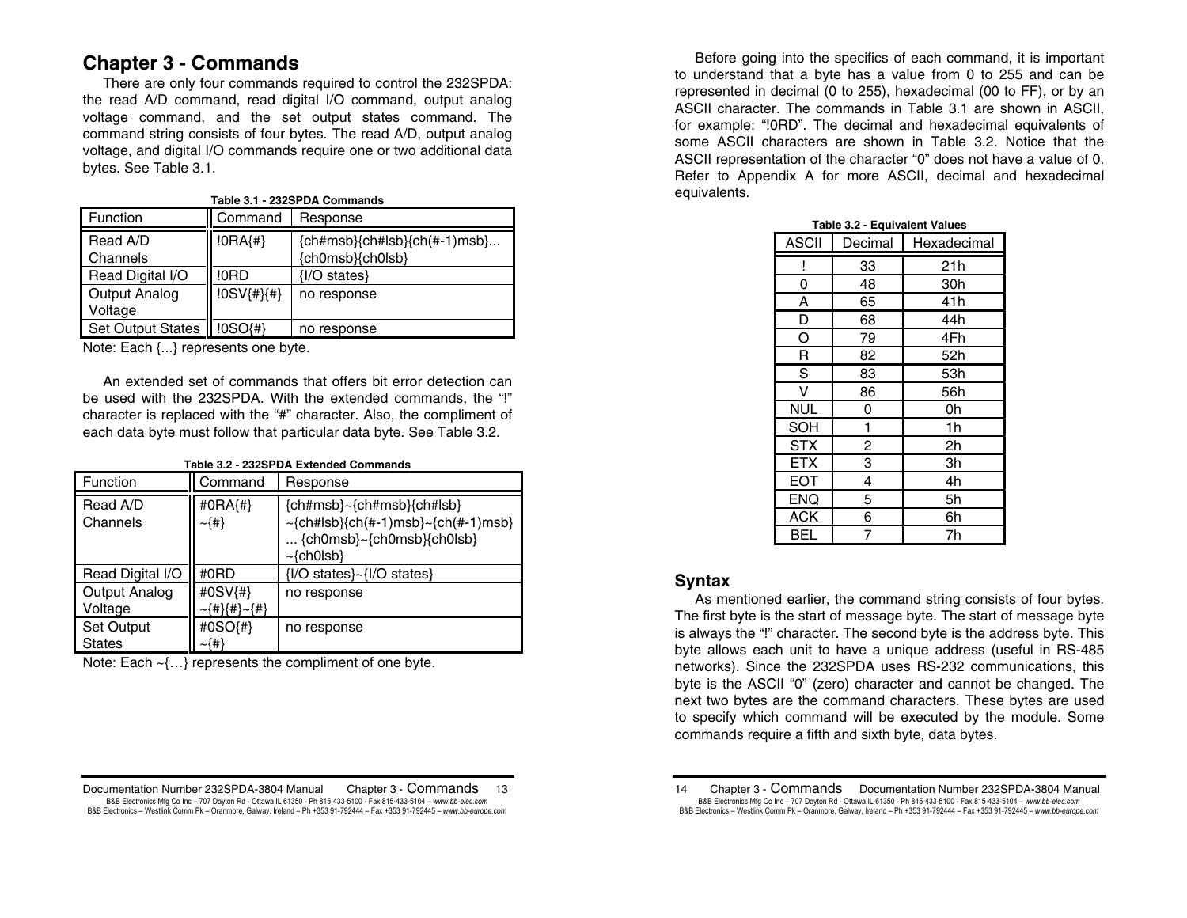# **Chapter 3 - Commands**

 There are only four commands required to control the 232SPDA: the read A/D command, read digital I/O command, output analog voltage command, and the set output states command. The command string consists of four bytes. The read A/D, output analog voltage, and digital I/O commands require one or two additional data bytes. See Table 3.1.

| Table 3.1 - 232SPDA Commands |               |                                                    |  |
|------------------------------|---------------|----------------------------------------------------|--|
| Function                     | Command       | Response                                           |  |
| Read A/D<br>Channels         | $ 0RA\{#}\$   | ${ch#msb}{ch#lsb}{ch(+-1)msb}$<br>{ch0msb}{ch0lsb} |  |
| Read Digital I/O             | !0RD          | {I/O states}                                       |  |
| Output Analog<br>Voltage     | $!0SV$ {#}{#} | no response                                        |  |
| <b>Set Output States</b>     | !0SO(#)       | no response                                        |  |

Note: Each {...} represents one byte.

 An extended set of commands that offers bit error detection can be used with the 232SPDA. With the extended commands, the "!" character is replaced with the "#" character. Also, the compliment of each data byte must follow that particular data byte. See Table 3.2.

| Table 3.2 - 232SPDA Extended Commands |                                |                                                                                                                          |  |  |  |  |
|---------------------------------------|--------------------------------|--------------------------------------------------------------------------------------------------------------------------|--|--|--|--|
| Function                              | Command                        | Response                                                                                                                 |  |  |  |  |
| Read A/D<br>Channels                  | #0RA{#}<br>$\sim$ {#}          | {ch#msb}~{ch#msb}{ch#lsb}<br>$\sim$ {ch#lsb}{ch(#-1)msb} $\sim$ {ch(#-1)msb}<br>${chOmsb}$ {ch0msb}{ch0lsb}<br>~{ch0lsb} |  |  |  |  |
| Read Digital I/O                      | #0RD                           | {I/O states}~{I/O states}                                                                                                |  |  |  |  |
| Output Analog<br>Voltage              | #0SV{#}<br>~{#}{#}~{#}         | no response                                                                                                              |  |  |  |  |
| Set Output<br>States                  | #0SO $\{$ # $\}$<br>$\sim$ {#} | no response                                                                                                              |  |  |  |  |

Note: Each ~{…} represents the compliment of one byte.

Documentation Number 232SPDA-3804 Manual Chapter 3 - Commands 13 B&B Electronics Mfg Co Inc – 707 Dayton Rd - Ottawa IL 61350 - Ph 815-433-5100 - Fax 815-433-5104 – *www.bb-elec.com* B&B Electronics - Westlink Comm Pk - Oranmore, Galway, Ireland - Ph +353 91-792444 - Fax +353 91-792445 - www.bb-europe.com

Before going into the specifics of each command, it is important to understand that a byte has a value from 0 to 255 and can be represented in decimal (0 to 255), hexadecimal (00 to FF), or by an ASCII character. The commands in Table 3.1 are shown in ASCII, for example: "!0RD". The decimal and hexadecimal equivalents of some ASCII characters are shown in Table 3.2. Notice that the ASCII representation of the character "0" does not have a value of 0. Refer to Appendix A for more ASCII, decimal and hexadecimal equivalents.

| <b>ASCII</b> | Decimal | Hexadecimal |  |  |
|--------------|---------|-------------|--|--|
|              | 33      | 21h         |  |  |
| 0            | 48      | 30h         |  |  |
| A            | 65      | 41h         |  |  |
| D            | 68      | 44h         |  |  |
| O            | 79      | 4Fh         |  |  |
| R            | 82      | 52h         |  |  |
| S            | 83      | 53h         |  |  |
| v            | 86      | 56h         |  |  |
| <b>NUL</b>   | 0       | 0h          |  |  |
| SOH          | 1       | 1h          |  |  |
| <b>STX</b>   | 2       | 2h          |  |  |
| <b>ETX</b>   | 3       | Зh          |  |  |
| EOT          | 4       | 4h          |  |  |
| <b>ENQ</b>   | 5       | 5h          |  |  |
| <b>ACK</b>   | 6       | 6h          |  |  |
| BEL          | 7       | 7h          |  |  |

|  |  | Table 3.2 - Equivalent Values |
|--|--|-------------------------------|
|  |  |                               |
|  |  |                               |

# **Syntax**

 As mentioned earlier, the command string consists of four bytes. The first byte is the start of message byte. The start of message byte is always the "!" character. The second byte is the address byte. This byte allows each unit to have a unique address (useful in RS-485 networks). Since the 232SPDA uses RS-232 communications, this byte is the ASCII "0" (zero) character and cannot be changed. The next two bytes are the command characters. These bytes are used to specify which command will be executed by the module. Some commands require a fifth and sixth byte, data bytes.

<sup>14</sup> Chapter 3 - Commands Documentation Number 232SPDA-3804 Manual B&B Electronics Mfg Co Inc – 707 Dayton Rd - Ottawa IL 61350 - Ph 815-433-5100 - Fax 815-433-5104 – *www.bb-elec.com* B&B Electronics - Westlink Comm Pk - Oranmore, Galway, Ireland - Ph +353 91-792444 - Fax +353 91-792445 - www.bb-europe.com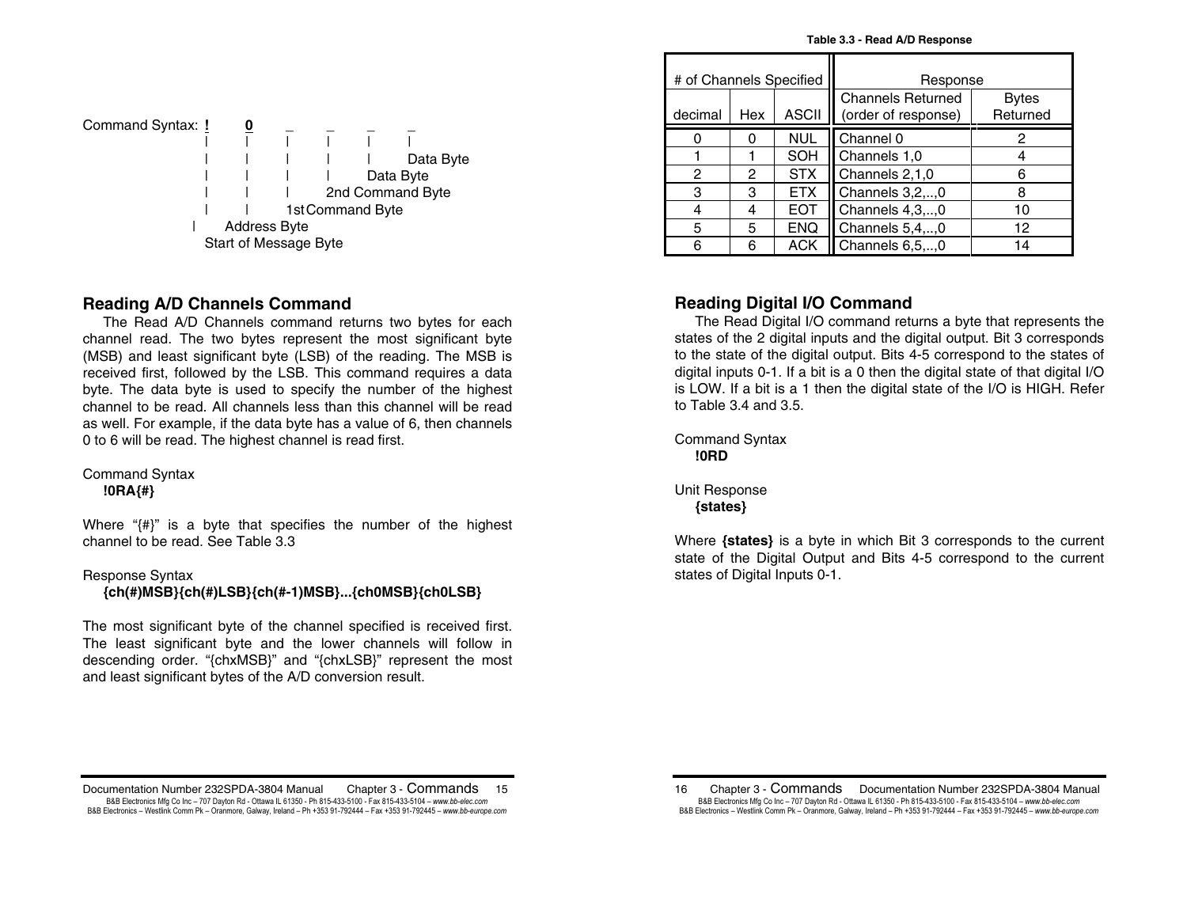| Table 3.3 - Read A/D Response |  |  |
|-------------------------------|--|--|
|-------------------------------|--|--|

| Command Syntax: <u>!</u> |                     |                       |                  |           |                  |
|--------------------------|---------------------|-----------------------|------------------|-----------|------------------|
|                          |                     |                       |                  |           |                  |
|                          |                     |                       |                  |           | Data Byte        |
|                          |                     |                       |                  | Data Byte |                  |
|                          |                     |                       |                  |           | 2nd Command Byte |
|                          |                     |                       | 1st Command Byte |           |                  |
|                          | <b>Address Byte</b> |                       |                  |           |                  |
|                          |                     | Start of Message Byte |                  |           |                  |

## **Reading A/D Channels Command**

 The Read A/D Channels command returns two bytes for each channel read. The two bytes represent the most significant byte (MSB) and least significant byte (LSB) of the reading. The MSB is received first, followed by the LSB. This command requires a data byte. The data byte is used to specify the number of the highest channel to be read. All channels less than this channel will be read as well. For example, if the data byte has a value of 6, then channels 0 to 6 will be read. The highest channel is read first.

Command Syntax

**!0RA{#}**

Where "{#}" is a byte that specifies the number of the highest channel to be read. See Table 3.3

### Response Syntax

 **{ch(#)MSB}{ch(#)LSB}{ch(#-1)MSB}...{ch0MSB}{ch0LSB}** 

The most significant byte of the channel specified is received first. The least significant byte and the lower channels will follow in descending order. "{chxMSB}" and "{chxLSB}" represent the most and least significant bytes of the A/D conversion result.

| # of Channels Specified |     |              | Response                                        |                          |  |  |  |
|-------------------------|-----|--------------|-------------------------------------------------|--------------------------|--|--|--|
| decimal                 | Hex | <b>ASCII</b> | <b>Channels Returned</b><br>(order of response) | <b>Bytes</b><br>Returned |  |  |  |
|                         |     | <b>NUL</b>   | Channel 0                                       | 2                        |  |  |  |
|                         |     | SOH          | Channels 1,0                                    |                          |  |  |  |
| 2                       | 2   | <b>STX</b>   | Channels 2,1,0                                  |                          |  |  |  |
| 3                       | з   | <b>ETX</b>   | Channels 3,2,,0                                 |                          |  |  |  |
|                         |     | <b>EOT</b>   | Channels 4,3,,0                                 | 10                       |  |  |  |
| 5                       | 5   | <b>ENQ</b>   | Channels 5,4,,0                                 | 12                       |  |  |  |
| հ                       | 6   | <b>ACK</b>   | Channels 6,5,,0                                 | 4                        |  |  |  |

# **Reading Digital I/O Command**

 The Read Digital I/O command returns a byte that represents the states of the 2 digital inputs and the digital output. Bit 3 corresponds to the state of the digital output. Bits 4-5 correspond to the states of digital inputs 0-1. If a bit is a 0 then the digital state of that digital I/O is LOW. If a bit is a 1 then the digital state of the I/O is HIGH. Refer to Table 3.4 and 3.5.

Command Syntax **!0RD** 

Unit Response  **{states}** 

Where **{states}** is a byte in which Bit 3 corresponds to the current state of the Digital Output and Bits 4-5 correspond to the current states of Digital Inputs 0-1.

Documentation Number 232SPDA-3804 Manual Chapter 3 - Commands 15 B&B Electronics Mfg Co Inc – 707 Dayton Rd - Ottawa IL 61350 - Ph 815-433-5100 - Fax 815-433-5104 – *www.bb-elec.com* B&B Electronics - Westlink Comm Pk - Oranmore, Galway, Ireland - Ph +353 91-792444 - Fax +353 91-792445 - www.bb-europe.com

<sup>16</sup> Chapter 3 - Commands Documentation Number 232SPDA-3804 Manual B&B Electronics Mfg Co Inc – 707 Dayton Rd - Ottawa IL 61350 - Ph 815-433-5100 - Fax 815-433-5104 – *www.bb-elec.com* B&B Electronics - Westlink Comm Pk - Oranmore, Galway, Ireland - Ph +353 91-792444 - Fax +353 91-792445 - www.bb-europe.com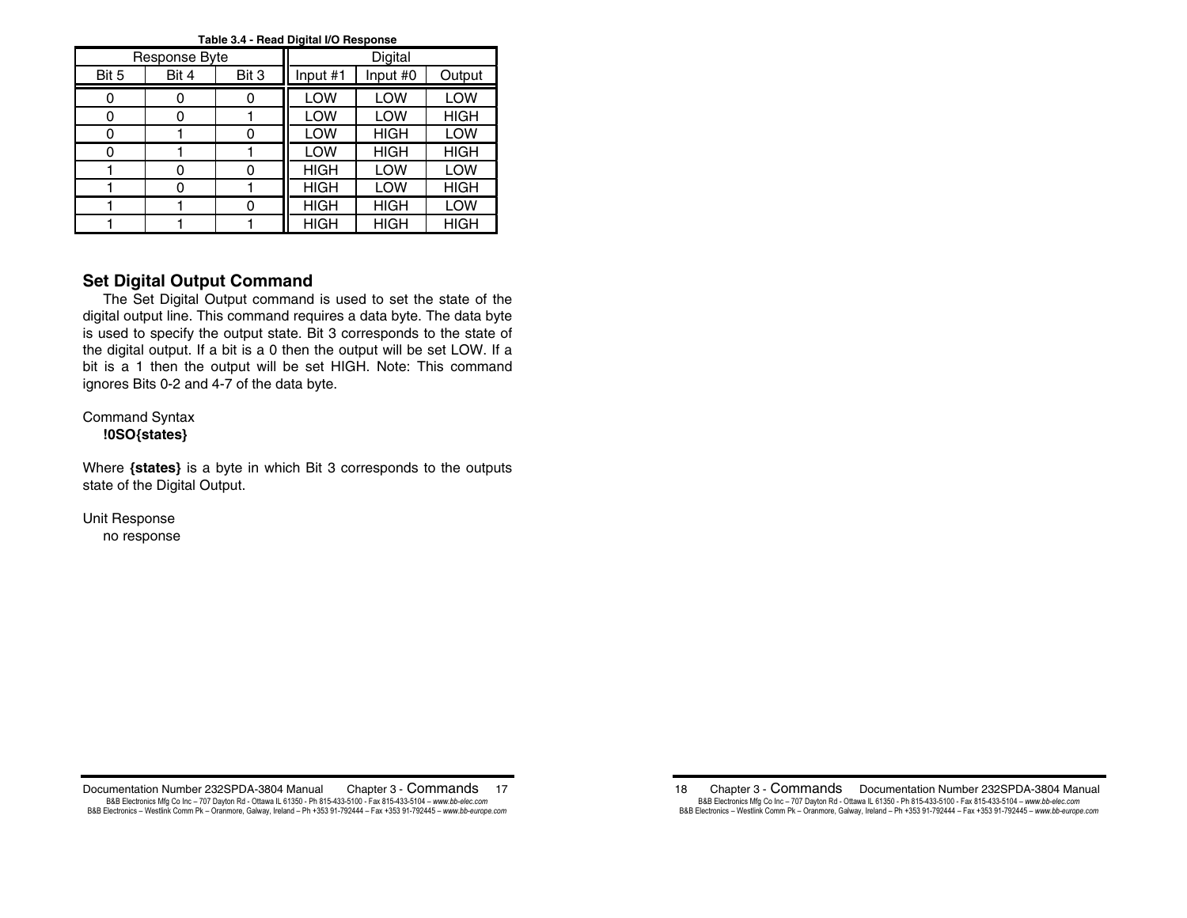| rable J.4 - Head Digital I/O Hesponse |               |       |             |             |             |  |  |  |  |
|---------------------------------------|---------------|-------|-------------|-------------|-------------|--|--|--|--|
|                                       | Response Byte |       |             | Digital     |             |  |  |  |  |
| Bit 5                                 | Bit 4         | Bit 3 | Input #1    | Input #0    | Output      |  |  |  |  |
|                                       |               |       | LOW         | LOW         | LOW         |  |  |  |  |
|                                       | በ             |       | LOW         | LOW         | <b>HIGH</b> |  |  |  |  |
| 0                                     |               |       | LOW         | <b>HIGH</b> | LOW         |  |  |  |  |
|                                       |               |       | LOW         | <b>HIGH</b> | <b>HIGH</b> |  |  |  |  |
|                                       | ი             |       | <b>HIGH</b> | LOW         | LOW         |  |  |  |  |
|                                       | በ             |       | <b>HIGH</b> | LOW         | <b>HIGH</b> |  |  |  |  |
|                                       |               |       | <b>HIGH</b> | <b>HIGH</b> | LOW         |  |  |  |  |
|                                       |               |       | <b>HIGH</b> | <b>HIGH</b> | <b>HIGH</b> |  |  |  |  |

#### **Table 3.4 - Read Digital I/O Response**

# **Set Digital Output Command**

 The Set Digital Output command is used to set the state of the digital output line. This command requires a data byte. The data byte is used to specify the output state. Bit 3 corresponds to the state of the digital output. If a bit is a 0 then the output will be set LOW. If a bit is a 1 then the output will be set HIGH. Note: This command ignores Bits 0-2 and 4-7 of the data byte.

Command Syntax **!0SO{states}** 

Where **{states}** is a byte in which Bit 3 corresponds to the outputs state of the Digital Output.

Unit Response no response

Documentation Number 232SPDA-3804 Manual Chapter 3 - Commands 17 B&B Electronics Mfg Co Inc – 707 Dayton Rd - Ottawa IL 61350 - Ph 815-433-5100 - Fax 815-433-5104 – *www.bb-elec.com* B&B Electronics - Westlink Comm Pk - Oranmore, Galway, Ireland - Ph +353 91-792444 - Fax +353 91-792445 - www.bb-europe.com

18 Chapter 3 - Commands Documentation Number 232SPDA-3804 Manual B&B Electronics Mfg Co Inc – 707 Dayton Rd - Ottawa IL 61350 - Ph 815-433-5100 - Fax 815-433-5104 – *www.bb-elec.com* B&B Electronics - Westlink Comm Pk - Oranmore, Galway, Ireland - Ph +353 91-792444 - Fax +353 91-792445 - www.bb-europe.com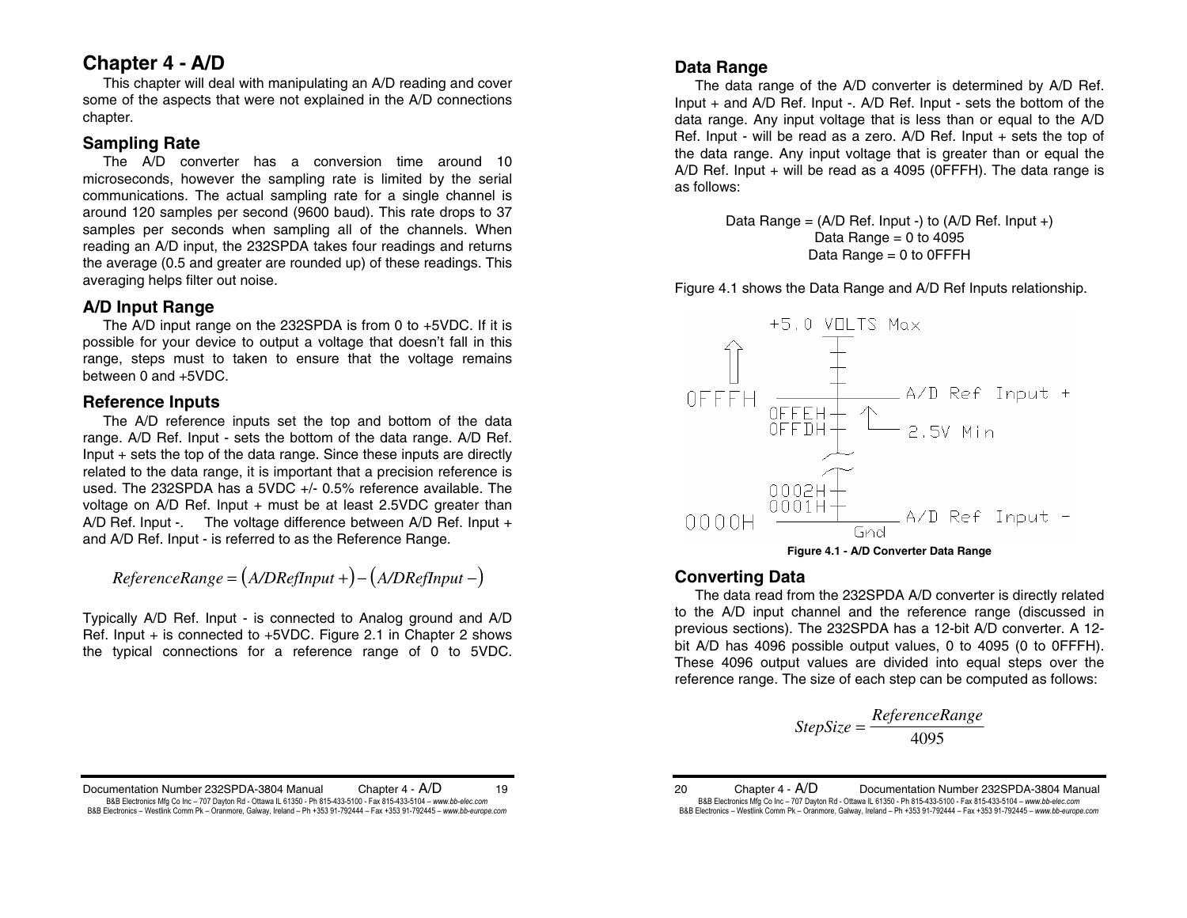# **Chapter 4 - A/D**

 This chapter will deal with manipulating an A/D reading and cover some of the aspects that were not explained in the A/D connections chapter.

# **Sampling Rate**

 The A/D converter has a conversion time around 10 microseconds, however the sampling rate is limited by the serial communications. The actual sampling rate for a single channel is around 120 samples per second (9600 baud). This rate drops to 37 samples per seconds when sampling all of the channels. When reading an A/D input, the 232SPDA takes four readings and returns the average (0.5 and greater are rounded up) of these readings. This averaging helps filter out noise.

# **A/D Input Range**

 The A/D input range on the 232SPDA is from 0 to +5VDC. If it is possible for your device to output a voltage that doesn't fall in this range, steps must to taken to ensure that the voltage remains between 0 and +5VDC.

# **Reference Inputs**

 The A/D reference inputs set the top and bottom of the data range. A/D Ref. Input - sets the bottom of the data range. A/D Ref. Input + sets the top of the data range. Since these inputs are directly related to the data range, it is important that a precision reference is used. The 232SPDA has a 5VDC +/- 0.5% reference available. The voltage on A/D Ref. Input + must be at least 2.5VDC greater than A/D Ref. Input -. The voltage difference between  $A/D$  Ref. Input  $+$ and A/D Ref. Input - is referred to as the Reference Range.

$$
ReferenceRange = (A/DRefInput +)-(A/DRefInput -)
$$

Typically A/D Ref. Input - is connected to Analog ground and A/D Ref. Input  $+$  is connected to  $+5$ VDC. Figure 2.1 in Chapter 2 shows the typical connections for a reference range of 0 to 5VDC.

# **Data Range**

 The data range of the A/D converter is determined by A/D Ref. Input + and A/D Ref. Input -. A/D Ref. Input - sets the bottom of the data range. Any input voltage that is less than or equal to the A/D Ref. Input - will be read as a zero. A/D Ref. Input + sets the top of the data range. Any input voltage that is greater than or equal the A/D Ref. Input  $+$  will be read as a 4095 (OFFFH). The data range is as follows:

> Data Range =  $(A/D \text{ Ref. Input -})$  to  $(A/D \text{ Ref. Input +})$ Data Range  $= 0$  to 4095 Data Range = 0 to 0FFFH

Figure 4.1 shows the Data Range and A/D Ref Inputs relationship.



**Figure 4.1 - A/D Converter Data Range** 

# **Converting Data**

 The data read from the 232SPDA A/D converter is directly related to the A/D input channel and the reference range (discussed in previous sections). The 232SPDA has a 12-bit A/D converter. A 12 bit A/D has 4096 possible output values, 0 to 4095 (0 to 0FFFH). These 4096 output values are divided into equal steps over the reference range. The size of each step can be computed as follows:

$$
StepSize = \frac{ReferenceRange}{4095}
$$

$$
tepSize = \frac{ReferenceRange}{4095}
$$

Documentation Number 232SPDA-3804 Manual Chapter 4 - A/D 19 B&B Electronics Mfg Co Inc – 707 Dayton Rd - Ottawa IL 61350 - Ph 815-433-5100 - Fax 815-433-5104 – *www.bb-elec.com* B&B Electronics - Westlink Comm Pk - Oranmore, Galway, Ireland - Ph +353 91-792444 - Fax +353 91-792445 - www.bb-europe.com

20 Chapter 4 - A/D Documentation Number 232SPDA-3804 Manual B&B Electronics Mfg Co Inc – 707 Dayton Rd - Ottawa IL 61350 - Ph 815-433-5100 - Fax 815-433-5104 – *www.bb-elec.com* B&B Electronics - Westlink Comm Pk - Oranmore, Galway, Ireland - Ph +353 91-792444 - Fax +353 91-792445 - www.bb-europe.com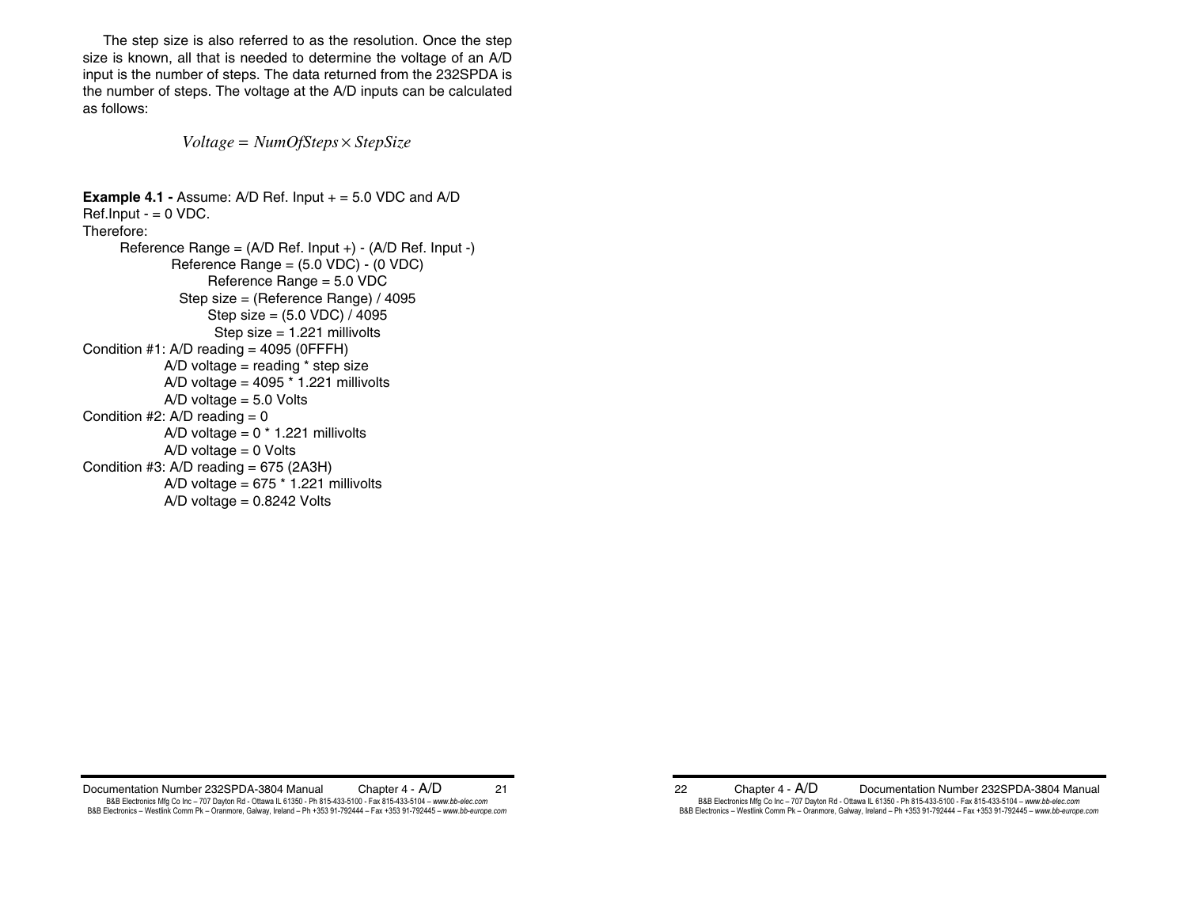The step size is also referred to as the resolution. Once the step size is known, all that is needed to determine the voltage of an A/D input is the number of steps. The data returned from the 232SPDA is the number of steps. The voltage at the A/D inputs can be calculated as follows:

 $Voltage = NumOfSteps \times StepSize$ 

```
Example 4.1 - Assume: A/D Ref. Input + = 5.0 VDC and A/DRef. Input - = 0 VDC.Therefore: Reference Range = (A/D Ref. Input +) - (A/D Ref. Input -) 
              Reference Range = (5.0 VDC) - (0 VDC) 
                   Reference Range = 5.0 VDC 
               Step size = (Reference Range) / 4095 
                   Step size = (5.0 VDC) / 4095 
                    Step size = 1.221 millivolts 
Condition #1: A/D reading = 4095 (0FFFH)
            A/D voltage = reading * step size
            A/D voltage = 4095 * 1.221 millivolts
            A/D voltage = 5.0 Volts
Condition #2: A/D reading = 0
            A/D voltage = 0 * 1.221 millivolts
            A/D voltage = 0 Volts
Condition #3: A/D reading = 675 (2A3H)
            A/D voltage = 675 * 1.221 millivolts
            A/D voltage = 0.8242 Volts
```
Documentation Number 232SPDA-3804 Manual Chapter 4 - A/D 21 B&B Electronics Mfg Co Inc – 707 Dayton Rd - Ottawa IL 61350 - Ph 815-433-5100 - Fax 815-433-5104 – *www.bb-elec.com* B&B Electronics - Westlink Comm Pk - Oranmore, Galway, Ireland - Ph +353 91-792444 - Fax +353 91-792445 - www.bb-europe.com

22 Chapter 4 - A/D Documentation Number 232SPDA-3804 Manual B&B Electronics Mfg Co Inc – 707 Dayton Rd - Ottawa IL 61350 - Ph 815-433-5100 - Fax 815-433-5104 – *www.bb-elec.com* B&B Electronics - Westlink Comm Pk - Oranmore, Galway, Ireland - Ph +353 91-792444 - Fax +353 91-792445 - www.bb-europe.com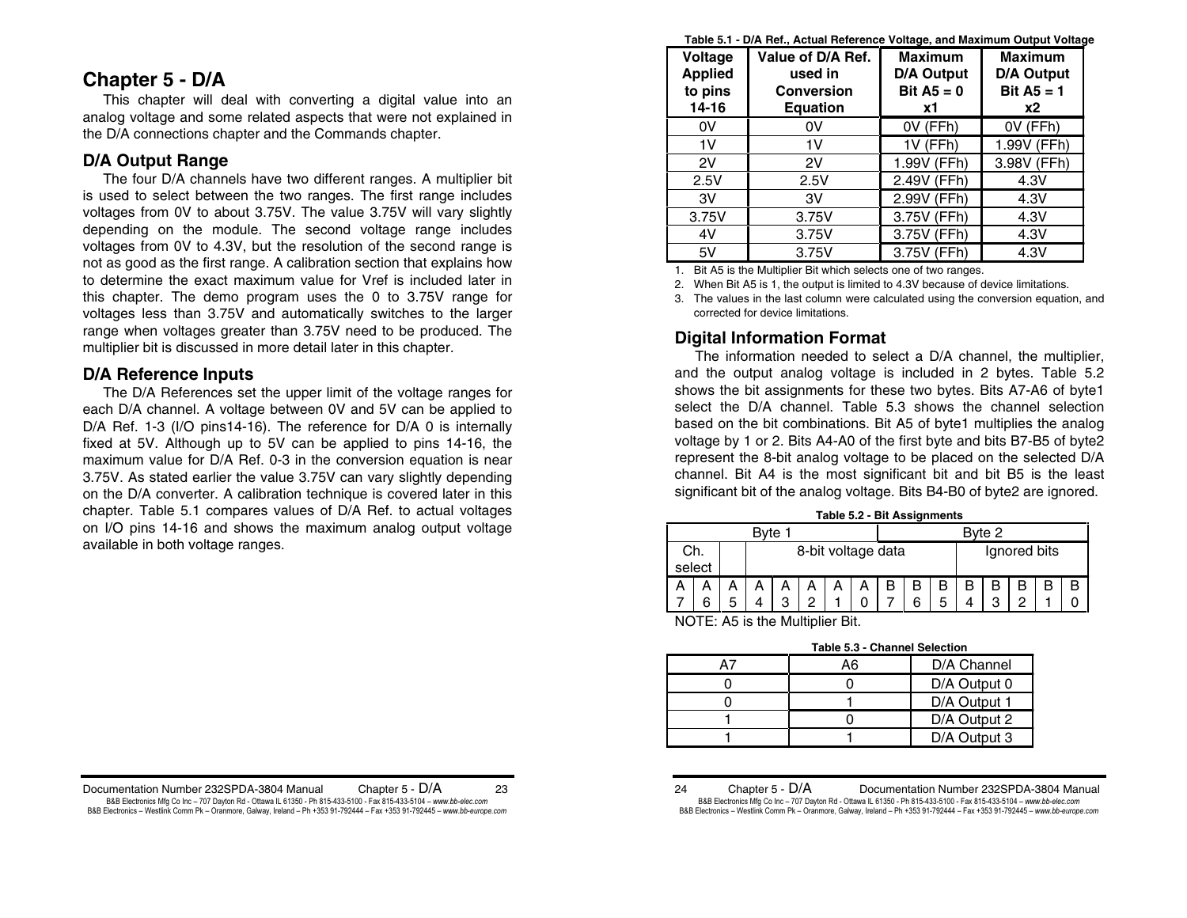# **Chapter 5 - D/A**

 This chapter will deal with converting a digital value into an analog voltage and some related aspects that were not explained in the D/A connections chapter and the Commands chapter.

# **D/A Output Range**

 The four D/A channels have two different ranges. A multiplier bit is used to select between the two ranges. The first range includes voltages from 0V to about 3.75V. The value 3.75V will vary slightly depending on the module. The second voltage range includes voltages from 0V to 4.3V, but the resolution of the second range is not as good as the first range. A calibration section that explains how to determine the exact maximum value for Vref is included later in this chapter. The demo program uses the 0 to 3.75V range for voltages less than 3.75V and automatically switches to the larger range when voltages greater than 3.75V need to be produced. The multiplier bit is discussed in more detail later in this chapter.

# **D/A Reference Inputs**

 The D/A References set the upper limit of the voltage ranges for each D/A channel. A voltage between 0V and 5V can be applied to D/A Ref. 1-3 (I/O pins14-16). The reference for D/A 0 is internally fixed at 5V. Although up to 5V can be applied to pins 14-16, the maximum value for D/A Ref. 0-3 in the conversion equation is near 3.75V. As stated earlier the value 3.75V can vary slightly depending on the D/A converter. A calibration technique is covered later in this chapter. Table 5.1 compares values of D/A Ref. to actual voltages on I/O pins 14-16 and shows the maximum analog output voltage available in both voltage ranges.

**Table 5.1 - D/A Ref., Actual Reference Voltage, and Maximum Output Voltage** 

| Voltage<br><b>Applied</b><br>to pins<br>14-16 | Value of D/A Ref.<br>used in<br><b>Conversion</b><br><b>Equation</b> | <b>Maximum</b><br><b>D/A Output</b><br>Bit $A5 = 0$<br>x1 | <b>Maximum</b><br><b>D/A Output</b><br>Bit $A5 = 1$<br>х2 |
|-----------------------------------------------|----------------------------------------------------------------------|-----------------------------------------------------------|-----------------------------------------------------------|
| 0V                                            | 0V                                                                   | OV (FFh)                                                  | OV (FFh)                                                  |
| 1V                                            | 1V                                                                   | 1V (FFh)                                                  | 1.99V (FFh)                                               |
| 2V                                            | 2V                                                                   | 1.99V (FFh)                                               | 3.98V (FFh)                                               |
| 2.5V                                          | 2.5V                                                                 | 2.49V (FFh)                                               | 4.3V                                                      |
| 3V                                            | 3V                                                                   | 2.99V (FFh)                                               | 4.3V                                                      |
| 3.75V                                         | 3.75V                                                                | 3.75V (FFh)                                               | 4.3V                                                      |
| 4V                                            | 3.75V                                                                | 3.75V (FFh)                                               | 4.3V                                                      |
| 5V                                            | 3.75V                                                                | 3.75V (FFh)                                               | 4.3V                                                      |

1. Bit A5 is the Multiplier Bit which selects one of two ranges.

2. When Bit A5 is 1, the output is limited to 4.3V because of device limitations.

3. The values in the last column were calculated using the conversion equation, and corrected for device limitations.

# **Digital Information Format**

 The information needed to select a D/A channel, the multiplier, and the output analog voltage is included in 2 bytes. Table 5.2 shows the bit assignments for these two bytes. Bits A7-A6 of byte1 select the D/A channel. Table 5.3 shows the channel selection based on the bit combinations. Bit A5 of byte1 multiplies the analog voltage by 1 or 2. Bits A4-A0 of the first byte and bits B7-B5 of byte2 represent the 8-bit analog voltage to be placed on the selected D/A channel. Bit A4 is the most significant bit and bit B5 is the least significant bit of the analog voltage. Bits B4-B0 of byte2 are ignored.

|  | Table 5.2 - Bit Assignments |
|--|-----------------------------|
|  |                             |

| Bvte   |     |   |                    |  |  |  | Byte 2 |              |   |   |  |   |   |  |  |
|--------|-----|---|--------------------|--|--|--|--------|--------------|---|---|--|---|---|--|--|
|        | Ch. |   | 8-bit voltage data |  |  |  |        | Ignored bits |   |   |  |   |   |  |  |
| select |     |   |                    |  |  |  |        |              |   |   |  |   |   |  |  |
| A      |     |   |                    |  |  |  |        |              | В |   |  |   |   |  |  |
|        | 6   | 5 | ◠                  |  |  |  |        |              | 6 | 5 |  | റ | ◠ |  |  |

NOTE: A5 is the Multiplier Bit.

**Table 5.3 - Channel Selection** 

| ווטווסט ושנוווער טיס טומ |              |
|--------------------------|--------------|
| А6                       | D/A Channel  |
|                          | D/A Output 0 |
|                          | D/A Output 1 |
|                          | D/A Output 2 |
|                          | D/A Output 3 |

24 Chapter 5 - D/A Documentation Number 232SPDA-3804 Manual B&B Electronics Mfg Co Inc – 707 Dayton Rd - Ottawa IL 61350 - Ph 815-433-5100 - Fax 815-433-5104 – *www.bb-elec.com* B&B Electronics - Westlink Comm Pk - Oranmore, Galway, Ireland - Ph +353 91-792444 - Fax +353 91-792445 - www.bb-europe.com

Documentation Number 232SPDA-3804 Manual Chapter 5 - D/A 23 B&B Electronics Mfg Co Inc – 707 Dayton Rd - Ottawa IL 61350 - Ph 815-433-5100 - Fax 815-433-5104 – *www.bb-elec.com* B&B Electronics - Westlink Comm Pk - Oranmore, Galway, Ireland - Ph +353 91-792444 - Fax +353 91-792445 - www.bb-europe.com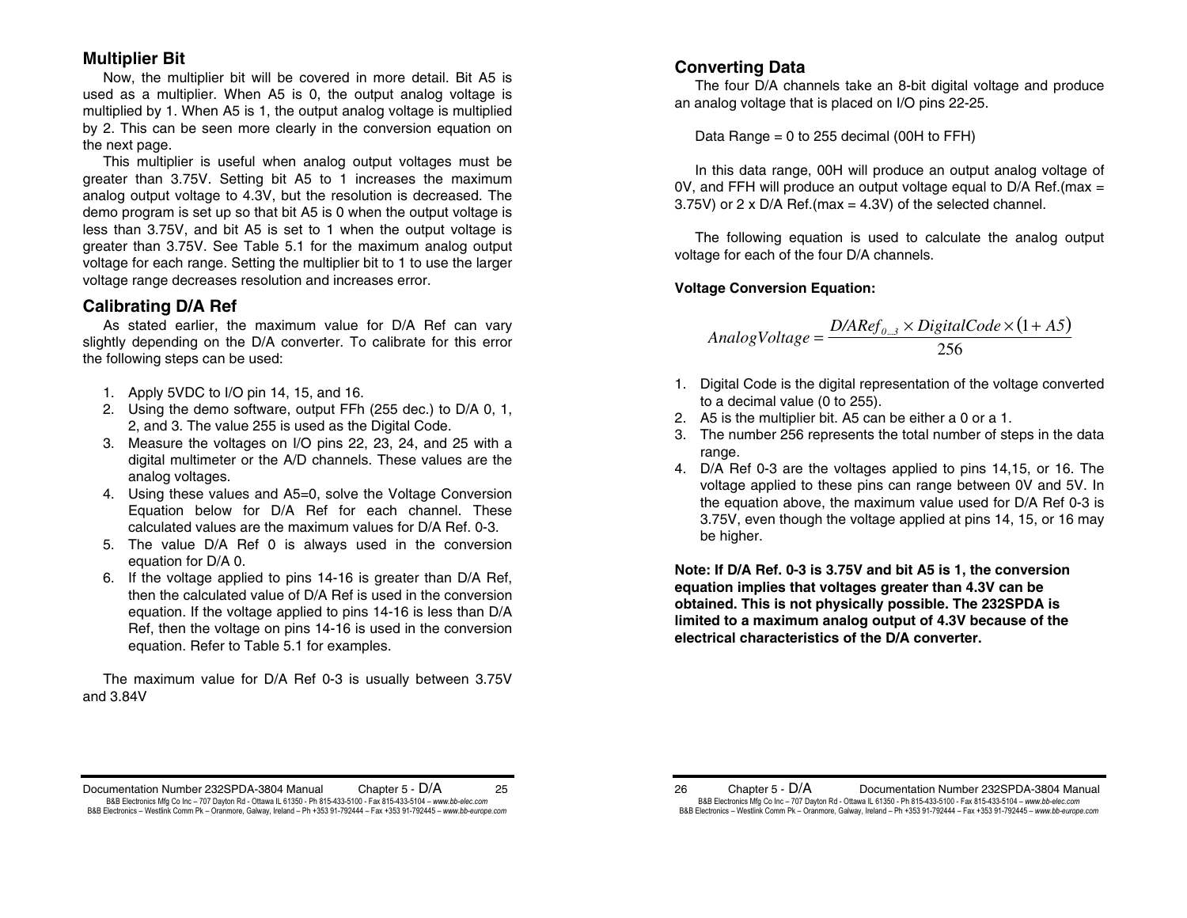# **Multiplier Bit**

Now, the multiplier bit will be covered in more detail. Bit A5 is used as a multiplier. When A5 is 0, the output analog voltage is multiplied by 1. When A5 is 1, the output analog voltage is multiplied by 2. This can be seen more clearly in the conversion equation on the next page.

This multiplier is useful when analog output voltages must be greater than 3.75V. Setting bit A5 to 1 increases the maximum analog output voltage to 4.3V, but the resolution is decreased. The demo program is set up so that bit A5 is 0 when the output voltage is less than 3.75V, and bit A5 is set to 1 when the output voltage is greater than 3.75V. See Table 5.1 for the maximum analog output voltage for each range. Setting the multiplier bit to 1 to use the larger voltage range decreases resolution and increases error.

# **Calibrating D/A Ref**

 As stated earlier, the maximum value for D/A Ref can vary slightly depending on the D/A converter. To calibrate for this error the following steps can be used:

- 1. Apply 5VDC to I/O pin 14, 15, and 16.
- 2. Using the demo software, output FFh (255 dec.) to D/A 0, 1, 2, and 3. The value 255 is used as the Digital Code.
- 3. Measure the voltages on I/O pins 22, 23, 24, and 25 with a digital multimeter or the A/D channels. These values are the analog voltages.
- 4. Using these values and A5=0, solve the Voltage Conversion Equation below for D/A Ref for each channel. These calculated values are the maximum values for D/A Ref. 0-3.
- 5. The value D/A Ref 0 is always used in the conversion equation for D/A 0.
- 6. If the voltage applied to pins 14-16 is greater than D/A Ref, then the calculated value of D/A Ref is used in the conversion equation. If the voltage applied to pins 14-16 is less than D/A Ref, then the voltage on pins 14-16 is used in the conversion equation. Refer to Table 5.1 for examples.

 The maximum value for D/A Ref 0-3 is usually between 3.75V and 3.84V

# **Converting Data**

 The four D/A channels take an 8-bit digital voltage and produce an analog voltage that is placed on I/O pins 22-25.

Data Range = 0 to 255 decimal (00H to FFH)

In this data range, 00H will produce an output analog voltage of 0V, and FFH will produce an output voltage equal to D/A Ref.(max = 3.75V) or 2 x D/A Ref.(max = 4.3V) of the selected channel.

The following equation is used to calculate the analog output voltage for each of the four D/A channels.

## **Voltage Conversion Equation:**

$$
Analog Voltage = \frac{D/ARef_{0...3} \times DigitalCode \times (1 + A5)}{256}
$$

- 1. Digital Code is the digital representation of the voltage converted to a decimal value (0 to 255).
- 2. A5 is the multiplier bit. A5 can be either a 0 or a 1.
- 3. The number 256 represents the total number of steps in the data range.
- 4. D/A Ref 0-3 are the voltages applied to pins 14,15, or 16. The voltage applied to these pins can range between 0V and 5V. In the equation above, the maximum value used for D/A Ref 0-3 is 3.75V, even though the voltage applied at pins 14, 15, or 16 may be higher.

**Note: If D/A Ref. 0-3 is 3.75V and bit A5 is 1, the conversion equation implies that voltages greater than 4.3V can be obtained. This is not physically possible. The 232SPDA is limited to a maximum analog output of 4.3V because of the electrical characteristics of the D/A converter.**

Documentation Number 232SPDA-3804 Manual Chapter 5 - D/A 25 B&B Electronics Mfg Co Inc – 707 Dayton Rd - Ottawa IL 61350 - Ph 815-433-5100 - Fax 815-433-5104 – *www.bb-elec.com* B&B Electronics - Westlink Comm Pk - Oranmore, Galway, Ireland - Ph +353 91-792444 - Fax +353 91-792445 - www.bb-europe.com

<sup>26</sup> Chapter 5 - D/A Documentation Number 232SPDA-3804 Manual B&B Electronics Mfg Co Inc – 707 Dayton Rd - Ottawa IL 61350 - Ph 815-433-5100 - Fax 815-433-5104 – *www.bb-elec.com* B&B Electronics - Westlink Comm Pk - Oranmore, Galway, Ireland - Ph +353 91-792444 - Fax +353 91-792445 - www.bb-europe.com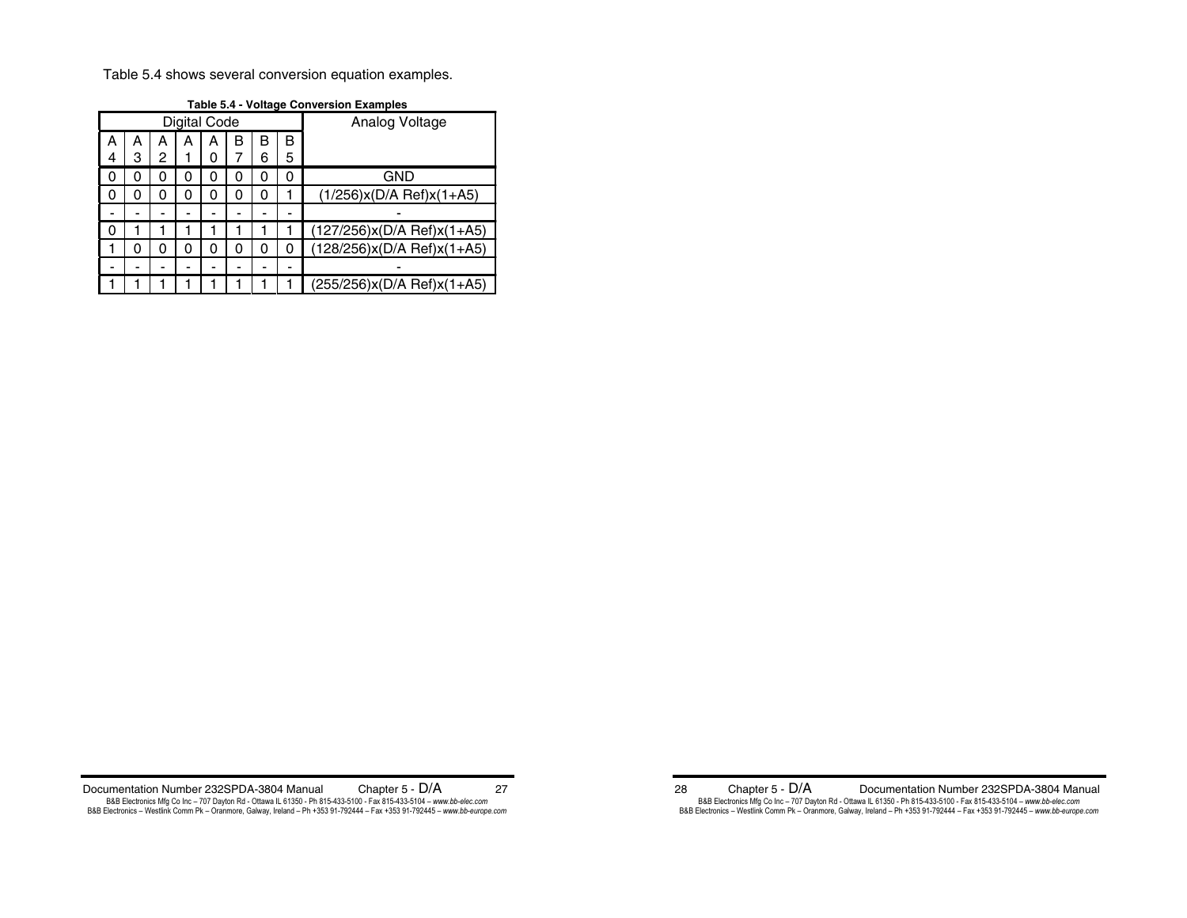Table 5.4 shows several conversion equation examples.

|              | דיש טושטו<br>TURQU UUNTUUN LAUNDRU |   |   |   |   |   |   |                            |  |  |
|--------------|------------------------------------|---|---|---|---|---|---|----------------------------|--|--|
| Digital Code |                                    |   |   |   |   |   |   | Analog Voltage             |  |  |
| А            | А                                  | А | А | А | в | в | B |                            |  |  |
| 4            | 3                                  | 2 |   | 0 |   | 6 | 5 |                            |  |  |
| 0            | 0                                  | 0 | 0 | 0 | 0 | 0 | 0 | GND                        |  |  |
| 0            | 0                                  | 0 |   | 0 | 0 | 0 |   | $(1/256)x(D/A Ref)x(1+A5)$ |  |  |
|              |                                    |   |   |   |   |   |   |                            |  |  |
| 0            |                                    |   |   |   |   |   |   | (127/256)x(D/A Ref)x(1+A5) |  |  |
|              | 0                                  | 0 | 0 | 0 | 0 | 0 | 0 | (128/256)x(D/A Ref)x(1+A5) |  |  |
|              |                                    |   |   |   |   |   |   |                            |  |  |
|              |                                    |   |   |   |   |   |   | (255/256)x(D/A Ref)x(1+A5) |  |  |

**Table 5.4 - Voltage Conversion Examples** 

Documentation Number 232SPDA-3804 Manual Chapter 5 - D/A 27 B&B Electronics Mfg Co Inc – 707 Dayton Rd - Ottawa IL 61350 - Ph 815-433-5100 - Fax 815-433-5104 – www.*bb-elec.com*<br>B&B Electronics – Westlink Comm Pk – Oranmore, Galway, Ireland – Ph +353 91-792444 – Fax +353 91-792445

28 Chapter 5 - D/A Documentation Number 232SPDA-3804 Manual B&B Electronics Mfg Co Inc – 707 Dayton Rd - Ottawa IL 61350 - Ph 815-433-5100 - Fax 815-433-5104 – *www.bb-elec.com*<br>B&B Electronics – Westlink Comm Pk – Oranmore, Galway, Ireland – Ph +353 91-792444 – Fax +353 91-792445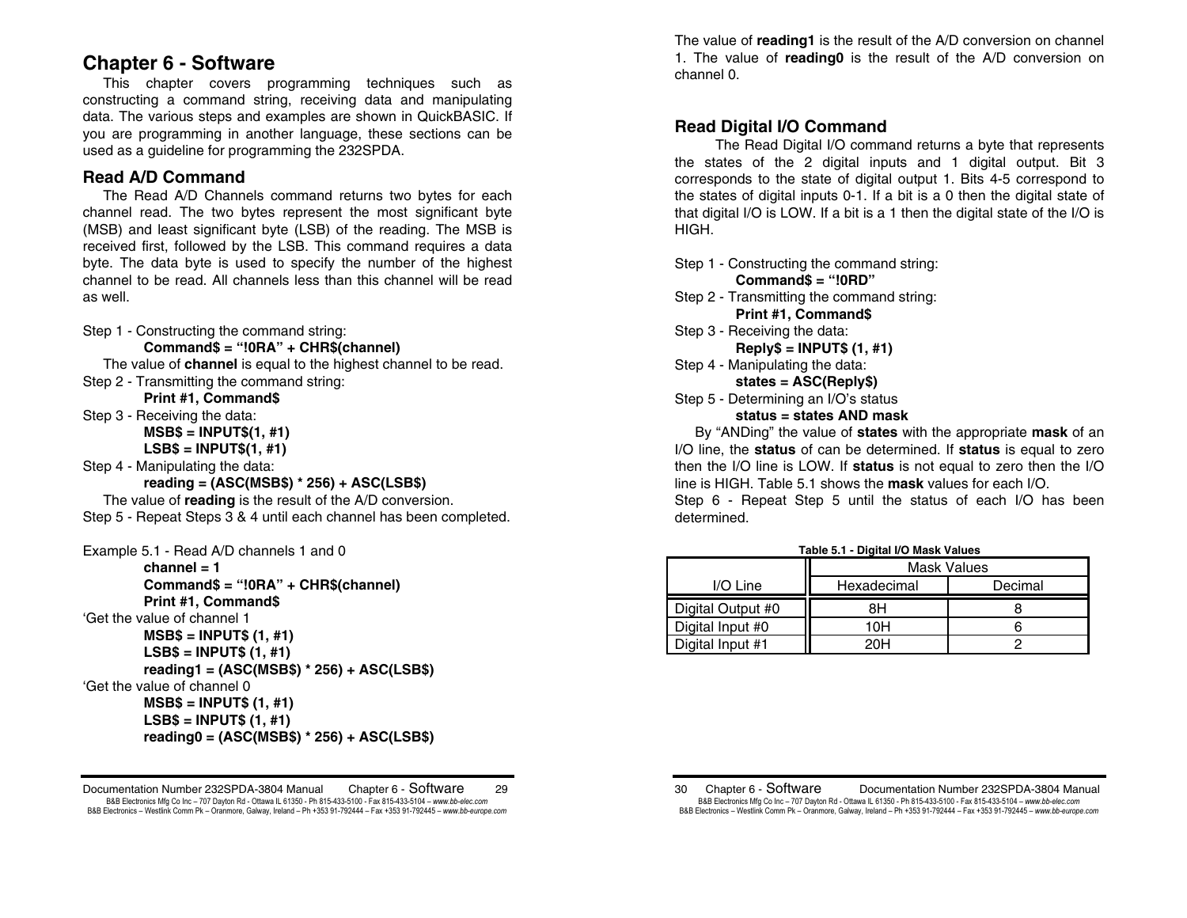# **Chapter 6 - Software**

 This chapter covers programming techniques such as constructing a command string, receiving data and manipulating data. The various steps and examples are shown in QuickBASIC. If you are programming in another language, these sections can be used as a guideline for programming the 232SPDA.

# **Read A/D Command**

 The Read A/D Channels command returns two bytes for each channel read. The two bytes represent the most significant byte (MSB) and least significant byte (LSB) of the reading. The MSB is received first, followed by the LSB. This command requires a data byte. The data byte is used to specify the number of the highest channel to be read. All channels less than this channel will be read as well.

Step 1 - Constructing the command string:

## **Command\$ = "!0RA" + CHR\$(channel)**

 The value of **channel** is equal to the highest channel to be read. Step 2 - Transmitting the command string:

**Print #1, Command\$** 

- Step 3 Receiving the data:
	- **MSB\$ = INPUT\$(1, #1)**
	- **LSB\$ = INPUT\$(1, #1)**
- Step 4 Manipulating the data:
	- **reading = (ASC(MSB\$) \* 256) + ASC(LSB\$)**

 The value of **reading** is the result of the A/D conversion. Step 5 - Repeat Steps 3 & 4 until each channel has been completed.

Example 5.1 - Read A/D channels 1 and 0

```
 channel = 1 Command$ = "!0RA" + CHR$(channel) 
        Print #1, Command$ 
'Get the value of channel 1 MSB$ = INPUT$ (1, #1) 
         LSB$ = INPUT$ (1, #1) 
        reading1 = (ASC(MSB$) * 256) + ASC(LSB$) 
'Get the value of channel 0 
        MSB$ = INPUT$ (1, #1) 
         LSB$ = INPUT$ (1, #1) 
        reading0 = (ASC(MSB$) * 256) + ASC(LSB$)
```
Documentation Number 232SPDA-3804 Manual Chapter 6 - Software 29 B&B Electronics Mfg Co Inc – 707 Dayton Rd - Ottawa IL 61350 - Ph 815-433-5100 - Fax 815-433-5104 – *www.bb-elec.com* B&B Electronics - Westlink Comm Pk - Oranmore, Galway, Ireland - Ph +353 91-792444 - Fax +353 91-792445 - www.bb-europe.com

The value of **reading1** is the result of the A/D conversion on channel 1. The value of **reading0** is the result of the A/D conversion on channel 0.

# **Read Digital I/O Command**

 The Read Digital I/O command returns a byte that represents the states of the 2 digital inputs and 1 digital output. Bit 3 corresponds to the state of digital output 1. Bits 4-5 correspond to the states of digital inputs 0-1. If a bit is a 0 then the digital state of that digital I/O is LOW. If a bit is a 1 then the digital state of the I/O is HIGH.

Step 1 - Constructing the command string:

- **Command\$ = "!0RD"**
- Step 2 Transmitting the command string: **Print #1, Command\$**
- Step 3 Receiving the data:
	- **Reply\$ = INPUT\$ (1, #1)**
- Step 4 Manipulating the data: **states = ASC(Reply\$)**
- Step 5 Determining an I/O's status

## **status = states AND mask**

 By "ANDing" the value of **states** with the appropriate **mask** of an I/O line, the **status** of can be determined. If **status** is equal to zero then the I/O line is LOW. If **status** is not equal to zero then the I/O line is HIGH. Table 5.1 shows the **mask** values for each I/O.

Step 6 - Repeat Step 5 until the status of each I/O has been determined.

|                   | <b>Mask Values</b> |         |  |  |  |  |
|-------------------|--------------------|---------|--|--|--|--|
| I/O Line          | Hexadecimal        | Decimal |  |  |  |  |
| Digital Output #0 | 8Η                 |         |  |  |  |  |
| Digital Input #0  | 10H                |         |  |  |  |  |
| Digital Input #1  | 20H                |         |  |  |  |  |

**Table 5.1 - Digital I/O Mask Values** 

30 Chapter 6 - Software Documentation Number 232SPDA-3804 Manual B&B Electronics Mfg Co Inc – 707 Dayton Rd - Ottawa IL 61350 - Ph 815-433-5100 - Fax 815-433-5104 – *www.bb-elec.com* B&B Electronics - Westlink Comm Pk - Oranmore, Galway, Ireland - Ph +353 91-792444 - Fax +353 91-792445 - www.bb-europe.com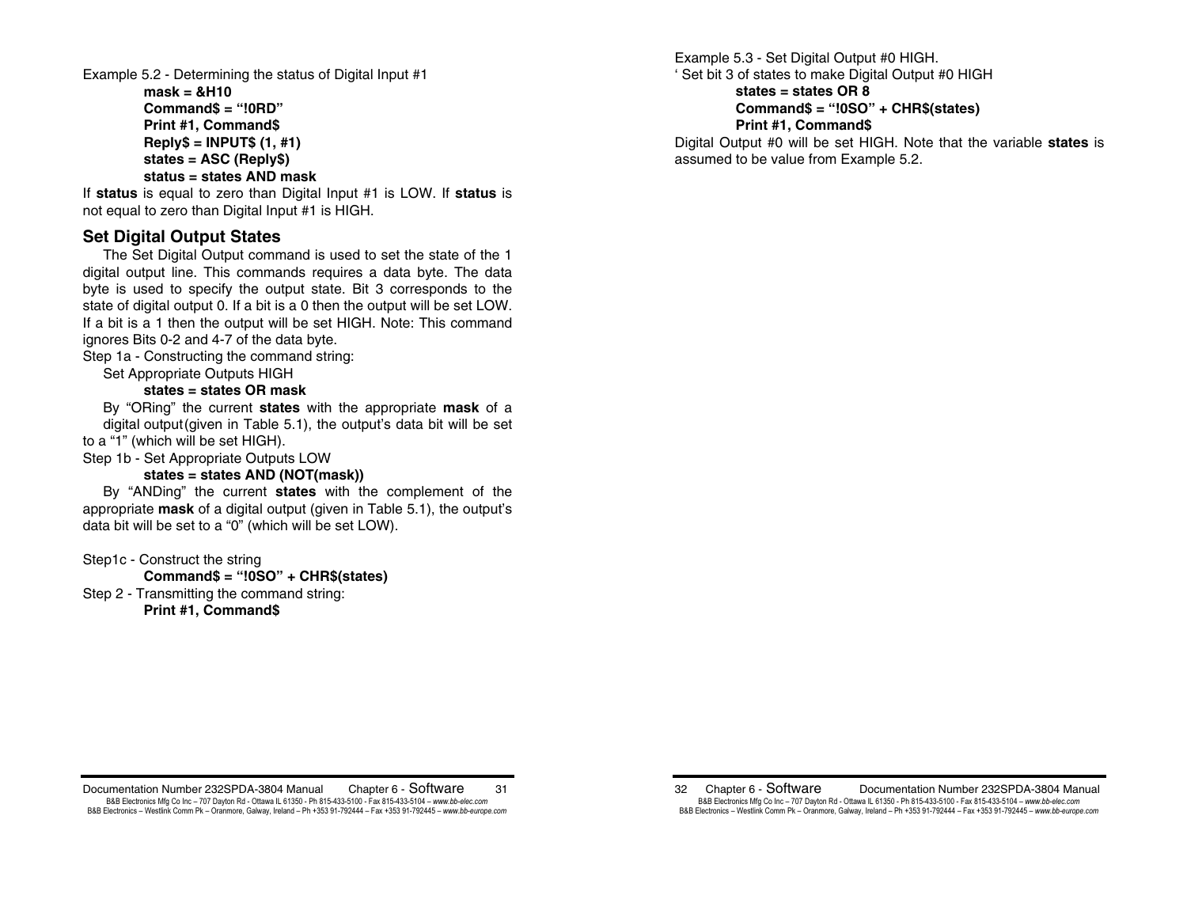Example 5.2 - Determining the status of Digital Input #1

**mask = &H10Command\$ = "!0RD" Print #1, Command\$ Reply\$ = INPUT\$ (1, #1) states = ASC (Reply\$) status = states AND mask** 

If **status** is equal to zero than Digital Input #1 is LOW. If **status** is not equal to zero than Digital Input #1 is HIGH.

# **Set Digital Output States**

 The Set Digital Output command is used to set the state of the 1 digital output line. This commands requires a data byte. The data byte is used to specify the output state. Bit 3 corresponds to the state of digital output 0. If a bit is a 0 then the output will be set LOW. If a bit is a 1 then the output will be set HIGH. Note: This command ignores Bits 0-2 and 4-7 of the data byte.

Step 1a - Constructing the command string:

Set Appropriate Outputs HIGH

## **states = states OR mask**

 By "ORing" the current **states** with the appropriate **mask** of a digital output(given in Table 5.1), the output's data bit will be set to a "1" (which will be set HIGH).

Step 1b - Set Appropriate Outputs LOW

## **states = states AND (NOT(mask))**

 By "ANDing" the current **states** with the complement of the appropriate **mask** of a digital output (given in Table 5.1), the output's data bit will be set to a "0" (which will be set LOW).

Step1c - Construct the string

 **Command\$ = "!0SO" + CHR\$(states)** 

Step 2 - Transmitting the command string:

**Print #1, Command\$** 

Example 5.3 - Set Digital Output #0 HIGH. ' Set bit 3 of states to make Digital Output #0 HIGH

## **states = states OR 8 Command\$ = "!0SO" + CHR\$(states) Print #1, Command\$**

Digital Output #0 will be set HIGH. Note that the variable **states** is assumed to be value from Example 5.2.

Documentation Number 232SPDA-3804 Manual Chapter 6 - Software 31 B&B Electronics Mfg Co Inc – 707 Dayton Rd - Ottawa IL 61350 - Ph 815-433-5100 - Fax 815-433-5104 – *www.bb-elec.com* B&B Electronics - Westlink Comm Pk - Oranmore, Galway, Ireland - Ph +353 91-792444 - Fax +353 91-792445 - www.bb-europe.com

32 Chapter 6 - Software Documentation Number 232SPDA-3804 Manual B&B Electronics Mfg Co Inc – 707 Dayton Rd - Ottawa IL 61350 - Ph 815-433-5100 - Fax 815-433-5104 – *www.bb-elec.com* B&B Electronics - Westlink Comm Pk - Oranmore, Galway, Ireland - Ph +353 91-792444 - Fax +353 91-792445 - www.bb-europe.com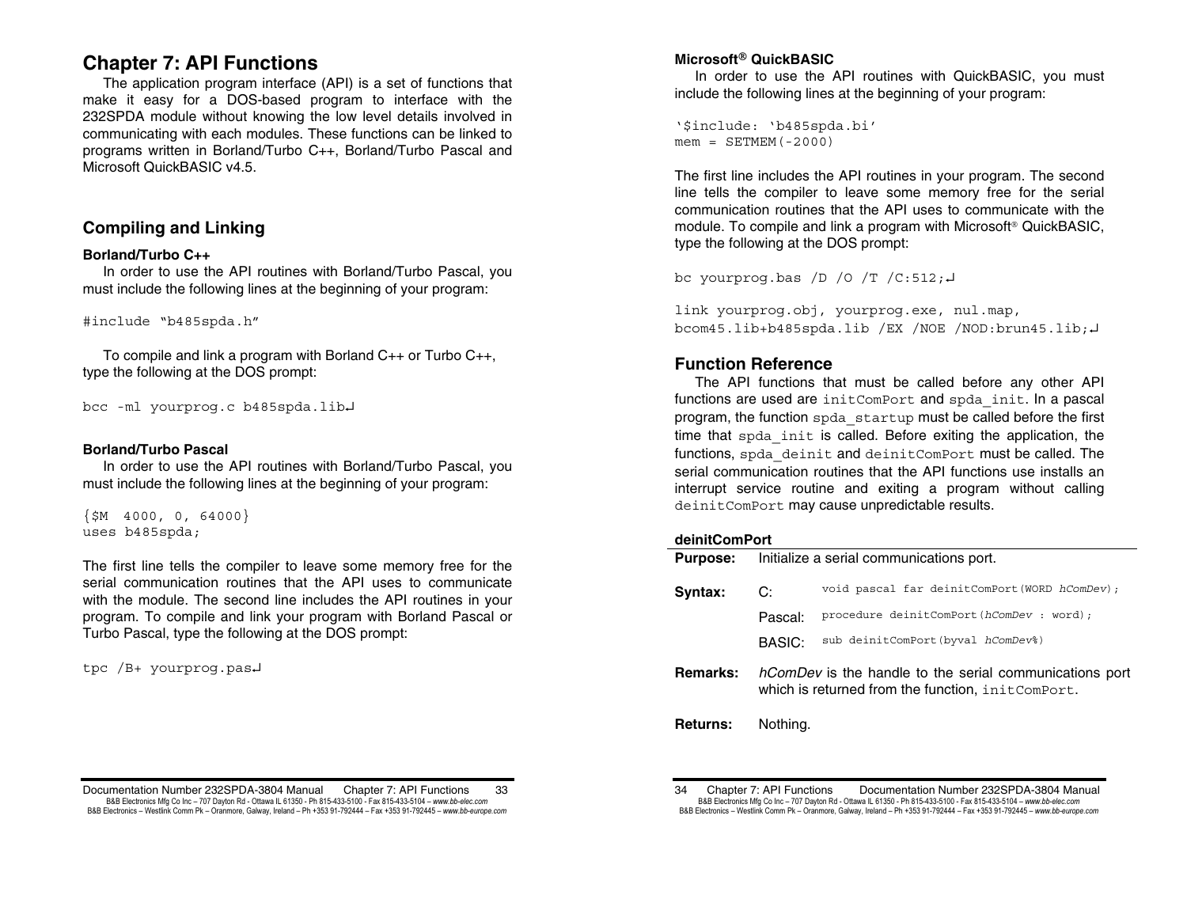# **Chapter 7: API Functions**

The application program interface (API) is a set of functions that make it easy for a DOS-based program to interface with the 232SPDA module without knowing the low level details involved in communicating with each modules. These functions can be linked to programs written in Borland/Turbo C++, Borland/Turbo Pascal and Microsoft QuickBASIC v4.5.

# **Compiling and Linking**

## **Borland/Turbo C++**

 In order to use the API routines with Borland/Turbo Pascal, you must include the following lines at the beginning of your program:

#include "b485spda.h"

 To compile and link a program with Borland C++ or Turbo C++, type the following at the DOS prompt:

```
bcc -ml yourprog.c b485spda.lib
```
## **Borland/Turbo Pascal**

 In order to use the API routines with Borland/Turbo Pascal, you must include the following lines at the beginning of your program:

 $\{$ \$M 4000, 0, 64000} uses b485spda;

The first line tells the compiler to leave some memory free for the serial communication routines that the API uses to communicate with the module. The second line includes the API routines in your program. To compile and link your program with Borland Pascal or Turbo Pascal, type the following at the DOS prompt:

tpc /B+ yourprog.pas

## $\mathsf{Microsoft}^\circledR$  QuickBASIC

 In order to use the API routines with QuickBASIC, you must include the following lines at the beginning of your program:

'\$include: 'b485spda.bi'  $m$ em = SETMEM (-2000)

The first line includes the API routines in your program. The second line tells the compiler to leave some memory free for the serial communication routines that the API uses to communicate with the module. To compile and link a program with Microsoft® QuickBASIC, type the following at the DOS prompt:

bc yourprog.bas  $/D / O / T / C: 512; L$ 

link yourprog.obj, yourprog.exe, nul.map, bcom45.lib+b485spda.lib /EX /NOE /NOD:brun45.lib;

# **Function Reference**

 The API functions that must be called before any other API functions are used are initComPort and spda init. In a pascal program, the function spda\_startup must be called before the first time that spda init is called. Before exiting the application, the functions, spda\_deinit and deinitComPort must be called. The serial communication routines that the API functions use installs an interrupt service routine and exiting a program without calling deinitComPort may cause unpredictable results.

### **deinitComPort**

| <b>Purpose:</b> | Initialize a serial communications port. |                                                                                                                     |  |  |  |
|-----------------|------------------------------------------|---------------------------------------------------------------------------------------------------------------------|--|--|--|
| Syntax:         | C:                                       | void pascal far deinitComPort (WORD hComDev);                                                                       |  |  |  |
|                 | Pascal:                                  | procedure deinitComPort(hComDev : word);                                                                            |  |  |  |
|                 | BASIC:                                   | sub deinitComPort (byval hComDev%)                                                                                  |  |  |  |
| <b>Remarks:</b> |                                          | <i>hComDev</i> is the handle to the serial communications port<br>which is returned from the function, initComPort. |  |  |  |
|                 |                                          |                                                                                                                     |  |  |  |

**Returns:** Nothing.

Documentation Number 232SPDA-3804 Manual Chapter 7: API Functions 33 B&B Electronics Mfg Co Inc – 707 Dayton Rd - Ottawa IL 61350 - Ph 815-433-5100 - Fax 815-433-5104 – *www.bb-elec.com* B&B Electronics - Westlink Comm Pk - Oranmore, Galway, Ireland - Ph +353 91-792444 - Fax +353 91-792445 - www.bb-europe.com

<sup>34</sup> Chapter 7: API Functions Documentation Number 232SPDA-3804 Manual B&B Electronics Mfg Co Inc – 707 Dayton Rd - Ottawa IL 61350 - Ph 815-433-5100 - Fax 815-433-5104 – *www.bb-elec.com* B&B Electronics - Westlink Comm Pk - Oranmore, Galway, Ireland - Ph +353 91-792444 - Fax +353 91-792445 - www.bb-europe.com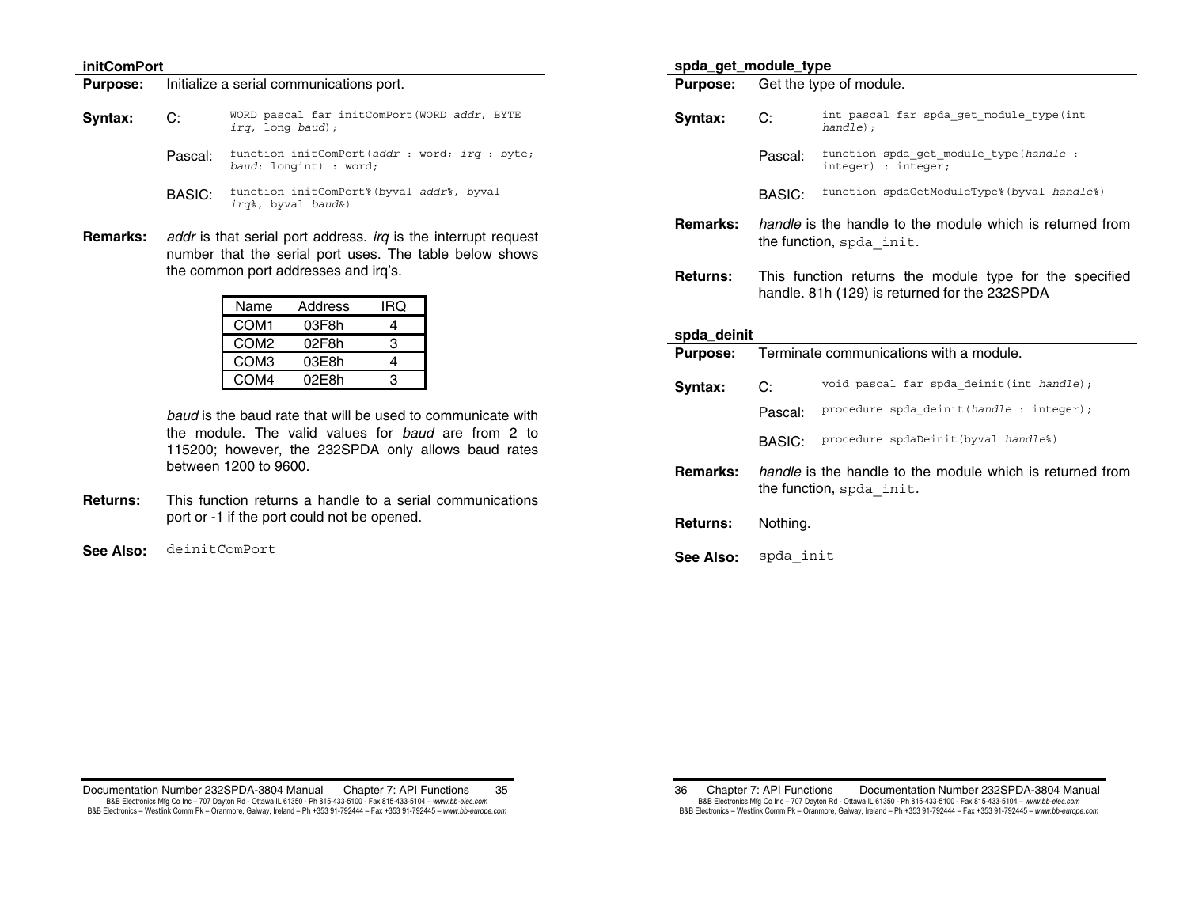### **initComPort**

#### **Purpose:** Initialize a serial communications port.

- **Syntax: C:** WORD pascal far initComPort(WORD *addr*, BYTE *irq*, long *baud*);
	- Pascal: function initComPort(*addr* : word; *irq* : byte; *baud*: longint) : word;
	- BASIC: function initComPort%(byval *addr*%, byval *irq*%, byval *baud*&)
- **Remarks:** *addr* is that serial port address. *irq* is the interrupt request number that the serial port uses. The table below shows the common port addresses and irq's.

| Name             | Address | IRQ |
|------------------|---------|-----|
| COM <sub>1</sub> | 03F8h   |     |
| COM <sub>2</sub> | 02F8h   | з   |
| COM <sub>3</sub> | 03E8h   |     |
| COM <sub>4</sub> | 02E8h   |     |

*baud* is the baud rate that will be used to communicate with the module. The valid values for *baud* are from 2 to 115200; however, the 232SPDA only allows baud rates between 1200 to 9600.

- **Returns:** This function returns a handle to a serial communications port or -1 if the port could not be opened.
- **See Also:** deinitComPort

## **spda\_get\_module\_type Purpose:** Get the type of module.

- **Syntax: C:** int pascal far spda\_get\_module\_type(int *handle*); Pascal: function spda\_get\_module\_type(*handle* : integer) : integer; BASIC: function spdaGetModuleType%(byval *handle*%) **Remarks:** *handle* is the handle to the module which is returned from the function, spda\_init.
- **Returns:** This function returns the module type for the specified handle. 81h (129) is returned for the 232SPDA

### **spda\_deinit**

| <b>Purpose:</b> | Terminate communications with a module. |                                                                                              |  |  |  |
|-----------------|-----------------------------------------|----------------------------------------------------------------------------------------------|--|--|--|
| Syntax:         | C:                                      | void pascal far spda deinit (int handle);                                                    |  |  |  |
|                 | Pascal:                                 | procedure spda deinit (handle : integer);                                                    |  |  |  |
|                 | BASIC:                                  | procedure spdaDeinit (byval handle%)                                                         |  |  |  |
| Remarks:        |                                         | <i>handle</i> is the handle to the module which is returned from<br>the function, spda init. |  |  |  |
| <b>Returns:</b> | Nothina.                                |                                                                                              |  |  |  |

**See Also:** spda\_init

Documentation Number 232SPDA-3804 Manual Chapter 7: API Functions 35 B&B Electronics Mfg Co Inc – 707 Dayton Rd - Ottawa IL 61350 - Ph 815-433-5100 - Fax 815-433-5104 – *www.bb-elec.com* B&B Electronics - Westlink Comm Pk - Oranmore, Galway, Ireland - Ph +353 91-792444 - Fax +353 91-792445 - www.bb-europe.com

<sup>36</sup> Chapter 7: API Functions Documentation Number 232SPDA-3804 Manual B&B Electronics Mfg Co Inc – 707 Dayton Rd - Ottawa IL 61350 - Ph 815-433-5100 - Fax 815-433-5104 – *www.bb-elec.com* B&B Electronics - Westlink Comm Pk - Oranmore, Galway, Ireland - Ph +353 91-792444 - Fax +353 91-792445 - www.bb-europe.com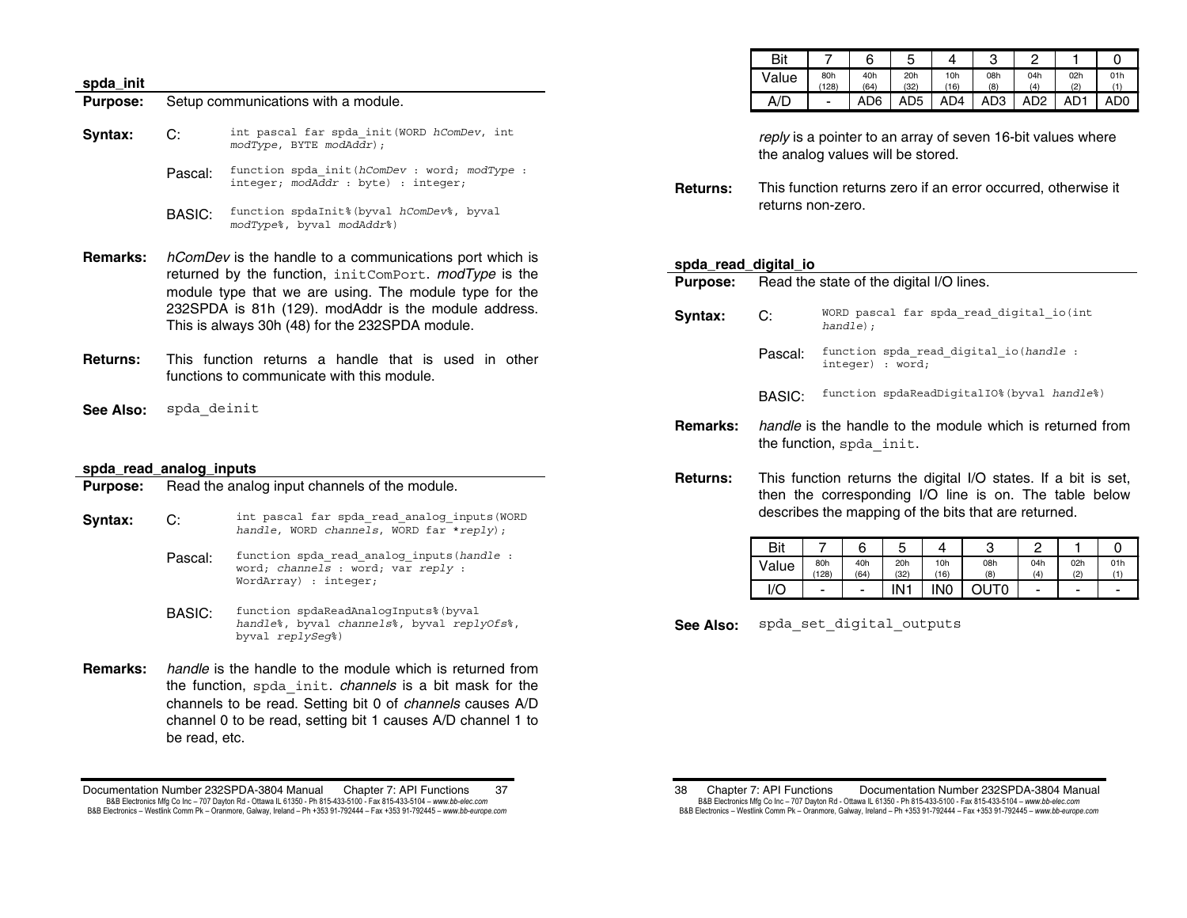#### **spda\_init**

**Purpose:** Setup communications with a module.

- **Syntax: C:** int pascal far spda\_init(WORD *hComDev*, int *modType*, BYTE *modAddr*);
	- Pascal: function spda\_init(*hComDev* : word; *modType* : integer; *modAddr* : byte) : integer;
	- BASIC: function spdaInit%(byval *hComDev*%, byval *modType*%, byval *modAddr*%)
- **Remarks:** *hComDev* is the handle to a communications port which is returned by the function, initComPort. *modType* is the module type that we are using. The module type for the 232SPDA is 81h (129). modAddr is the module address. This is always 30h (48) for the 232SPDA module.
- **Returns:** This function returns a handle that is used in other functions to communicate with this module.
- **See Also:** spda\_deinit

#### **spda\_read\_analog\_inputs**

| <b>Purpose:</b> |                                                                                                                             | Read the analog input channels of the module.                                                             |  |  |  |  |  |  |
|-----------------|-----------------------------------------------------------------------------------------------------------------------------|-----------------------------------------------------------------------------------------------------------|--|--|--|--|--|--|
| Syntax:         | C:                                                                                                                          | int pascal far spda read analog inputs (WORD<br>handle, WORD channels, WORD far *reply);                  |  |  |  |  |  |  |
|                 | Pascal:                                                                                                                     | function spda read analog inputs (handle :<br>word; channels : word; var reply :<br>WordArray) : integer; |  |  |  |  |  |  |
|                 | BASIC:                                                                                                                      | function spdaReadAnalogInputs% (byval<br>handle%, byval channels%, byval replyOfs%,<br>byval replySeq%)   |  |  |  |  |  |  |
| Remarks:        | handle is the handle to the module which is returned from<br>the function, spda init. <i>channels</i> is a bit mask for the |                                                                                                           |  |  |  |  |  |  |

channels to be read. Setting bit 0 of *channels* causes A/D channel 0 to be read, setting bit 1 causes A/D channel 1 to be read, etc.

| Bit   |                          |             |             |             |            |                       |     |     |
|-------|--------------------------|-------------|-------------|-------------|------------|-----------------------|-----|-----|
| Value | 80h<br>(128)             | 40h<br>(64) | 20h<br>(32) | 10h<br>(16) | 08h<br>(8) | 04h<br>$\overline{4}$ | 02h | 01h |
| A/D   | $\overline{\phantom{0}}$ | AD6         | AD5         | AD4         | AD3        | AD <sub>2</sub>       | AD1 | AD0 |

*reply* is a pointer to an array of seven 16-bit values where the analog values will be stored.

**Returns:** This function returns zero if an error occurred, otherwise it returns non-zero.

### **spda\_read\_digital\_io**

| <b>Purpose:</b> | Read the state of the digital I/O lines.                                                     |                                                             |  |  |  |  |  |
|-----------------|----------------------------------------------------------------------------------------------|-------------------------------------------------------------|--|--|--|--|--|
| Syntax:         | WORD pascal far spda read digital io(int<br>C:<br>handle);                                   |                                                             |  |  |  |  |  |
|                 | Pascal:                                                                                      | function spda read digital io (handle :<br>integer) : word; |  |  |  |  |  |
|                 | BASIC:                                                                                       | function spdaReadDiqitalIO% (byval handle%)                 |  |  |  |  |  |
| Remarks:        | <i>handle</i> is the handle to the module which is returned from<br>the function, spda init. |                                                             |  |  |  |  |  |

**Returns:** This function returns the digital I/O states. If a bit is set, then the corresponding I/O line is on. The table below describes the mapping of the bits that are returned.

| Bit          |              | 6           | u           |             | U          |                          |            |     |
|--------------|--------------|-------------|-------------|-------------|------------|--------------------------|------------|-----|
| <b>Value</b> | 80h<br>(128) | 40h<br>(64) | 20h<br>(32) | 10h<br>(16) | 08h<br>(8) | 04h<br>(4)               | 02h<br>(2) | 01h |
| I/O          | -            | -           | IN1         | INO         | OTUC       | $\overline{\phantom{a}}$ | -          |     |

See Also: spda set digital outputs

Documentation Number 232SPDA-3804 Manual Chapter 7: API Functions 37 B&B Electronics Mfg Co Inc – 707 Dayton Rd - Ottawa IL 61350 - Ph 815-433-5100 - Fax 815-433-5104 – *www.bb-elec.com* B&B Electronics - Westlink Comm Pk - Oranmore, Galway, Ireland - Ph +353 91-792444 - Fax +353 91-792445 - www.bb-europe.com

<sup>38</sup> Chapter 7: API Functions Documentation Number 232SPDA-3804 Manual B&B Electronics Mfg Co Inc – 707 Dayton Rd - Ottawa IL 61350 - Ph 815-433-5100 - Fax 815-433-5104 – *www.bb-elec.com* B&B Electronics - Westlink Comm Pk - Oranmore, Galway, Ireland - Ph +353 91-792444 - Fax +353 91-792445 - www.bb-europe.com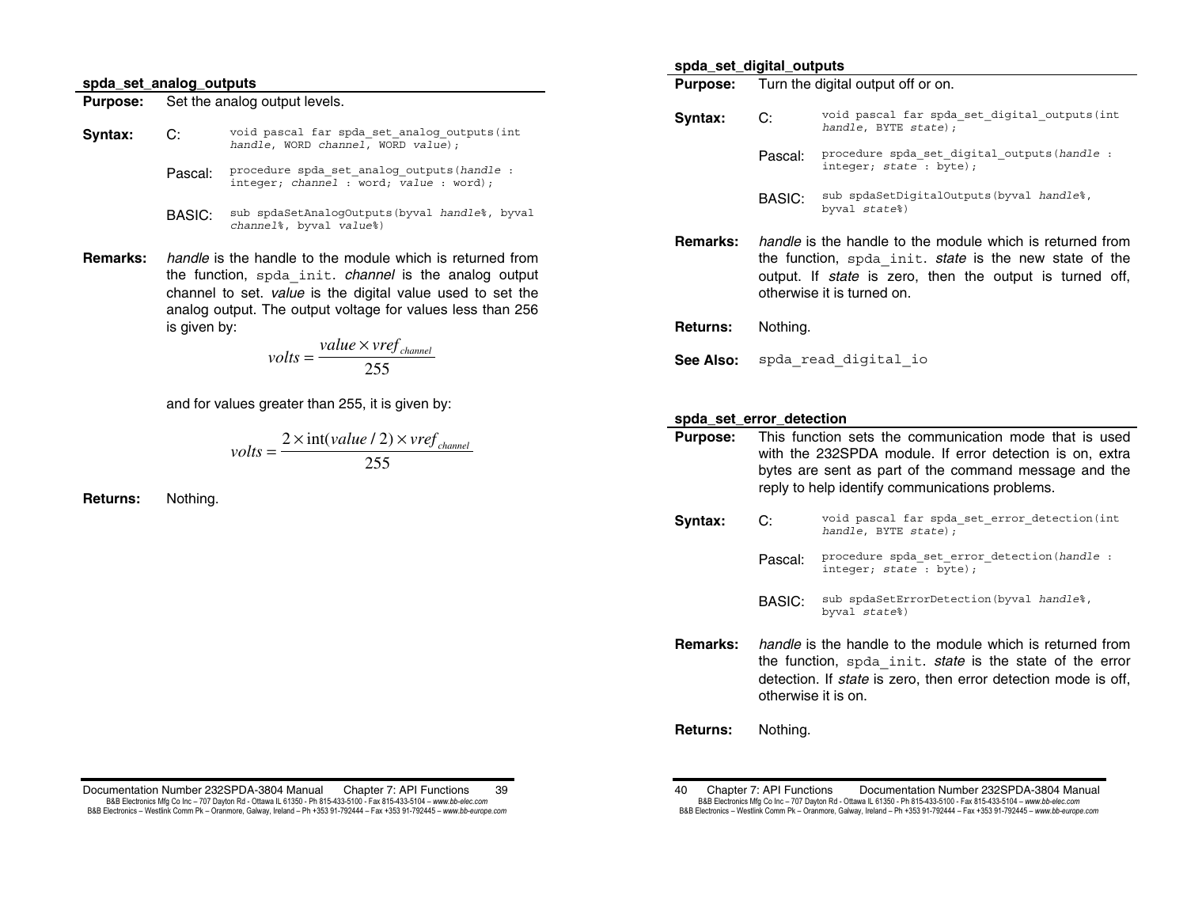#### **spda\_set\_analog\_outputs**

**Purpose:** Set the analog output levels.

- **Syntax:** C: void pascal far spda\_set\_analog\_outputs(int *handle*, WORD *channel*, WORD *value*);
	- Pascal: procedure spda\_set\_analog\_outputs(*handle* : integer; *channel* : word; *value* : word);
	- BASIC: sub spdaSetAnalogOutputs(byval *handle*%, byval *channel*%, byval *value*%)
- **Remarks:** *handle* is the handle to the module which is returned from the function, spda\_init. *channel* is the analog output channel to set. *value* is the digital value used to set the analog output. The output voltage for values less than 256 is given by:

$$
volts = \frac{value \times vref_{channel}}{255}
$$

and for values greater than 255, it is given by:

$$
volts = \frac{2 \times int(value / 2) \times vref_{channel}}{255}
$$

**Returns:** Nothing.

Documentation Number 232SPDA-3804 Manual Chapter 7: API Functions 39 B&B Electronics Mfg Co Inc – 707 Dayton Rd - Ottawa IL 61350 - Ph 815-433-5100 - Fax 815-433-5104 – *www.bb-elec.com* B&B Electronics - Westlink Comm Pk - Oranmore, Galway, Ireland - Ph +353 91-792444 - Fax +353 91-792445 - www.bb-europe.com

#### **spda\_set\_digital\_outputs**

**Purpose:** Turn the digital output off or on.

- **Syntax: C:** void pascal far spda\_set\_digital\_outputs(int *handle*, BYTE *state*); Pascal: procedure spda\_set\_digital\_outputs(*handle* : integer; *state* : byte); BASIC: sub spdaSetDigitalOutputs(byval *handle*%, byval *state*%)
- **Remarks:** *handle* is the handle to the module which is returned from the function, spda\_init. *state* is the new state of the output. If *state* is zero, then the output is turned off, otherwise it is turned on.
- **Returns:** Nothing.
- See Also: spda read digital io

### **spda\_set\_error\_detection**

- **Purpose:** This function sets the communication mode that is used with the 232SPDA module. If error detection is on, extra bytes are sent as part of the command message and the reply to help identify communications problems.
- **Syntax: C:** void pascal far spda\_set\_error\_detection(int *handle*, BYTE *state*);
	- Pascal: procedure spda\_set\_error\_detection(*handle* : integer; *state* : byte);
	- BASIC: sub spdaSetErrorDetection(byval *handle*%, byval *state*%)
- **Remarks:** *handle* is the handle to the module which is returned from the function, spda\_init. *state* is the state of the error detection. If *state* is zero, then error detection mode is off, otherwise it is on.
- **Returns:** Nothing.

<sup>40</sup> Chapter 7: API Functions Documentation Number 232SPDA-3804 Manual B&B Electronics Mfg Co Inc – 707 Dayton Rd - Ottawa IL 61350 - Ph 815-433-5100 - Fax 815-433-5104 – *www.bb-elec.com* B&B Electronics - Westlink Comm Pk - Oranmore, Galway, Ireland - Ph +353 91-792444 - Fax +353 91-792445 - www.bb-europe.com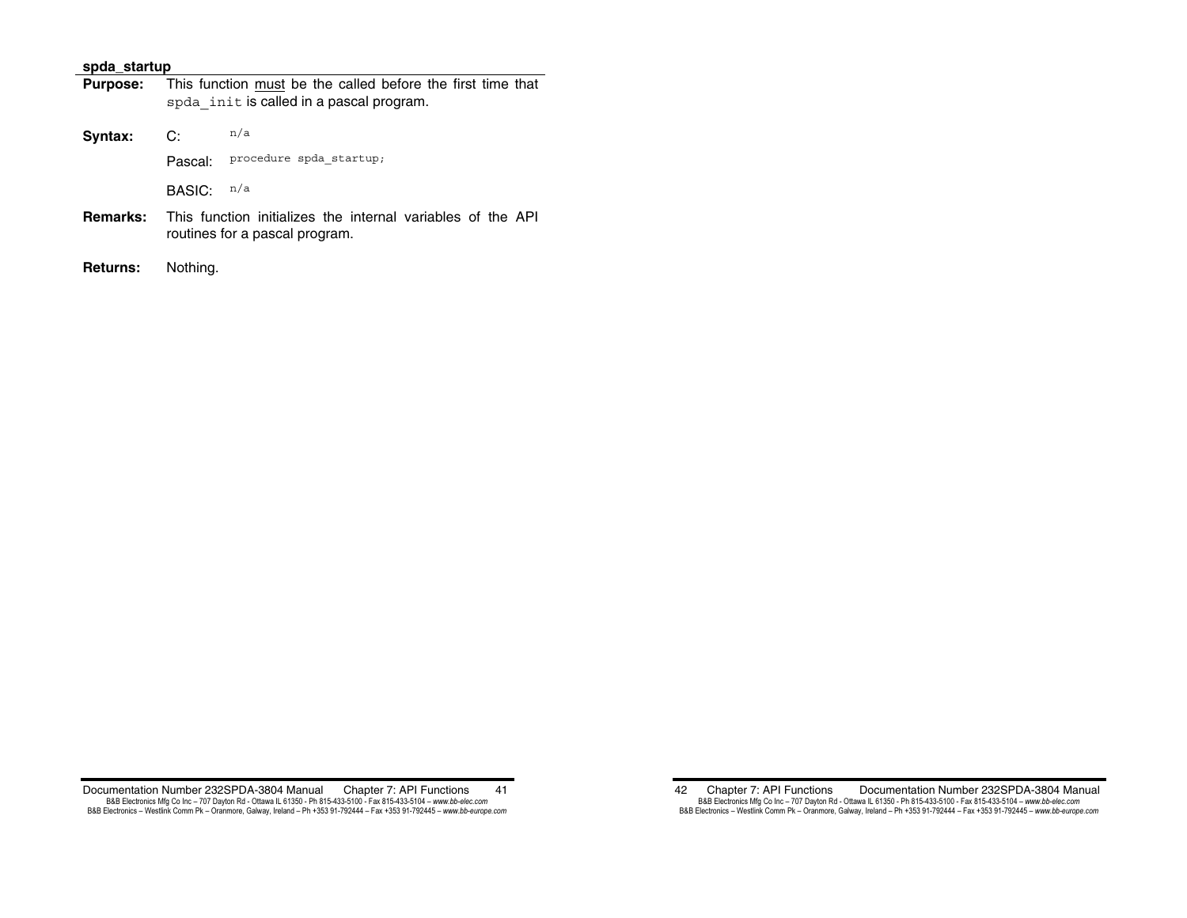### **spda\_startup**

| <b>Purpose:</b> | This function must be the called before the first time that<br>spda init is called in a pascal program. |                         |  |  |  |
|-----------------|---------------------------------------------------------------------------------------------------------|-------------------------|--|--|--|
| Syntax:         | n/a<br>C:                                                                                               |                         |  |  |  |
|                 | Pascal:                                                                                                 | procedure spda startup; |  |  |  |
|                 | BASIC:                                                                                                  | n/a                     |  |  |  |
| Remarks:        | This function initializes the internal variables of the API<br>routines for a pascal program.           |                         |  |  |  |
| <b>Returns:</b> | Nothing.                                                                                                |                         |  |  |  |

Documentation Number 232SPDA-3804 Manual Chapter 7: API Functions 41 B&B Electronics Mfg Co Inc – 707 Dayton Rd - Ottawa IL 61350 - Ph 815-433-5100 - Fax 815-433-5104 – www.*bb-elec.com*<br>B&B Electronics – Westlink Comm Pk – Oranmore, Galway, Ireland – Ph +353 91-792444 – Fax +353 91-792445

42 Chapter 7: API Functions Documentation Number 232SPDA-3804 Manual B&B Electronics Mfg Co Inc – 707 Dayton Rd - Ottawa IL 61350 - Ph 815-433-5100 - Fax 815-433-5104 – *www.bb-elec.com*<br>B&B Electronics – Westlink Comm Pk – Oranmore, Galway, Ireland – Ph +353 91-792444 – Fax +353 91-792445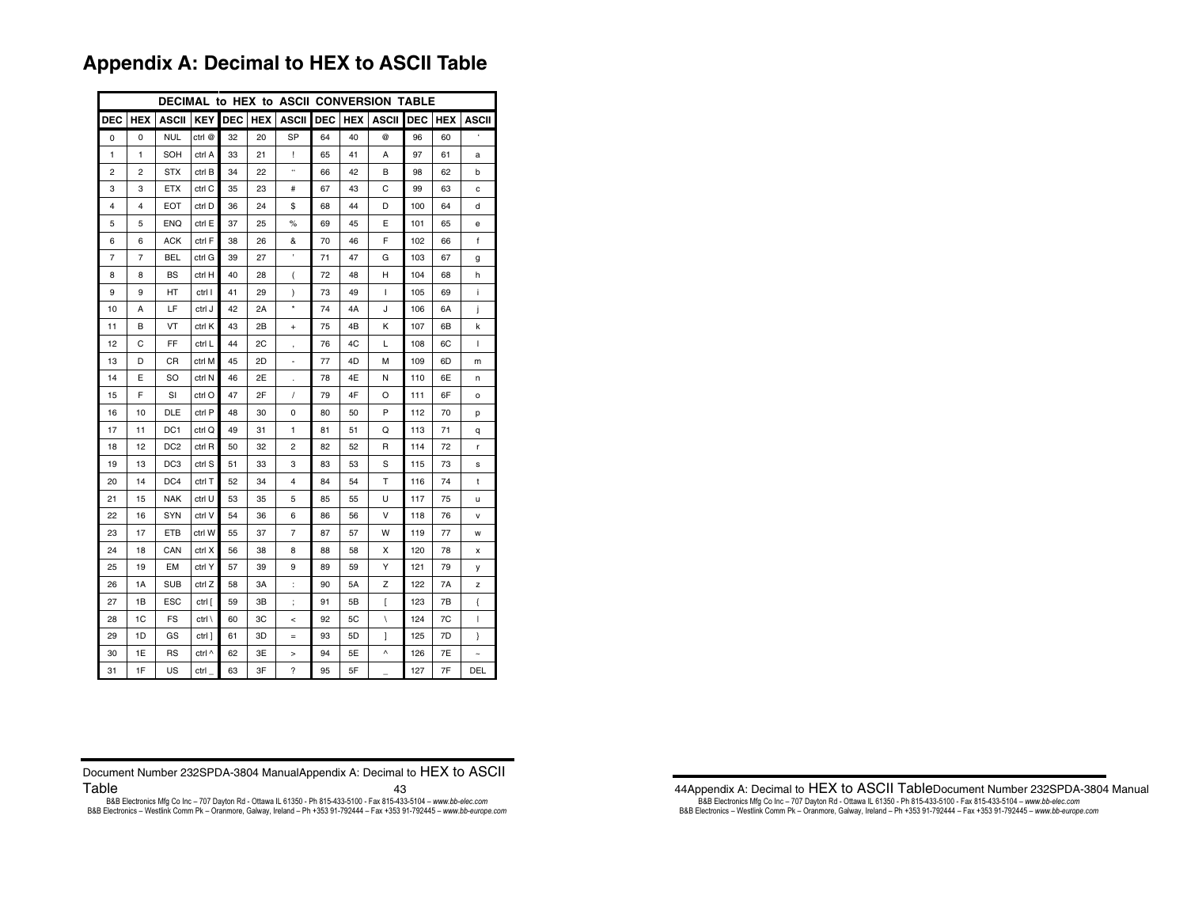# **Appendix A: Decimal to HEX to ASCII Table**

| DECIMAL to HEX to ASCII CONVERSION TABLE |                |                 |                  |            |            |                |            |            |                          |            |            |              |
|------------------------------------------|----------------|-----------------|------------------|------------|------------|----------------|------------|------------|--------------------------|------------|------------|--------------|
| DEC                                      | <b>HEX</b>     | ASCII           | <b>KEY</b>       | <b>DEC</b> | <b>HEX</b> | ASCII          | <b>DEC</b> | <b>HEX</b> | ASCII                    | <b>DEC</b> | <b>HEX</b> | ASCII        |
| 0                                        | $\Omega$       | <b>NUL</b>      | ctrl @           | 32         | 20         | SP             | 64         | 40         | @                        | 96         | 60         |              |
| 1                                        | 1              | SOH             | ctrl A           | 33         | 21         | L              | 65         | 41         | A                        | 97         | 61         | a            |
| 2                                        | $\overline{c}$ | <b>STX</b>      | ctrl B           | 34         | 22         | $\epsilon$     | 66         | 42         | В                        | 98         | 62         | b            |
| 3                                        | 3              | <b>ETX</b>      | ctrl C           | 35         | 23         | #              | 67         | 43         | С                        | 99         | 63         | C            |
| 4                                        | $\overline{4}$ | EOT             | ctrl D           | 36         | 24         | \$             | 68         | 44         | D                        | 100        | 64         | d            |
| 5                                        | 5              | ENQ             | ctrl E           | 37         | 25         | %              | 69         | 45         | Е                        | 101        | 65         | е            |
| 6                                        | 6              | ACK             | ctrl F           | 38         | 26         | &              | 70         | 46         | F                        | 102        | 66         | f            |
| 7                                        | 7              | BEL             | ctrl G           | 39         | 27         |                | 71         | 47         | G                        | 103        | 67         | g            |
| 8                                        | 8              | <b>BS</b>       | ctrl H           | 40         | 28         | (              | 72         | 48         | н                        | 104        | 68         | h            |
| 9                                        | 9              | HT              | ctrl I           | 41         | 29         | $\lambda$      | 73         | 49         | L                        | 105        | 69         | i            |
| 10                                       | A              | LF              | ctrl J           | 42         | 2A         | ×              | 74         | 4A         | J                        | 106        | 6A         | j            |
| 11                                       | в              | VT              | ctrl K           | 43         | 2B         | $\ddot{}$      | 75         | 4B         | Κ                        | 107        | 6B         | k            |
| 12                                       | С              | FF              | ctrl L           | 44         | 2C         |                | 76         | 4C         | L                        | 108        | 6C         | $\mathbf{I}$ |
| 13                                       | D              | СR              | ctrl M           | 45         | 2D         |                | 77         | 4D         | М                        | 109        | 6D         | m            |
| 14                                       | E              | SO              | ctrl N           | 46         | 2E         | $\cdot$        | 78         | 4E         | Ν                        | 110        | 6E         | n            |
| 15                                       | F              | SI              | ctrl O           | 47         | 2F         | I              | 79         | 4F         | O                        | 111        | 6F         | o            |
| 16                                       | 10             | <b>DLE</b>      | ctrl P           | 48         | 30         | 0              | 80         | 50         | P                        | 112        | 70         | p            |
| 17                                       | 11             | DC <sub>1</sub> | ctrl Q           | 49         | 31         | 1              | 81         | 51         | Q                        | 113        | 71         | q            |
| 18                                       | 12             | DC <sub>2</sub> | ctrl R           | 50         | 32         | 2              | 82         | 52         | R                        | 114        | 72         | r            |
| 19                                       | 13             | DC <sub>3</sub> | ctrl S           | 51         | 33         | 3              | 83         | 53         | S                        | 115        | 73         | s            |
| 20                                       | 14             | DC4             | ctrl T           | 52         | 34         | 4              | 84         | 54         | Т                        | 116        | 74         | t            |
| 21                                       | 15             | <b>NAK</b>      | ctrl U           | 53         | 35         | 5              | 85         | 55         | U                        | 117        | 75         | u            |
| 22                                       | 16             | <b>SYN</b>      | ctrl V           | 54         | 36         | 6              | 86         | 56         | v                        | 118        | 76         | v            |
| 23                                       | 17             | ETB             | ctrl W           | 55         | 37         | $\overline{7}$ | 87         | 57         | w                        | 119        | 77         | W            |
| 24                                       | 18             | CAN             | ctrl X           | 56         | 38         | 8              | 88         | 58         | х                        | 120        | 78         | x            |
| 25                                       | 19             | EM              | ctrl Y           | 57         | 39         | 9              | 89         | 59         | Υ                        | 121        | 79         | у            |
| 26                                       | 1A             | <b>SUB</b>      | ctrl Z           | 58         | 3A         | t              | 90         | 5A         | Z                        | 122        | 7A         | z            |
| 27                                       | 1B             | ESC             | ctrl [           | 59         | 3B         | $\vdots$       | 91         | 5B         | ſ                        | 123        | 7B         | {            |
| 28                                       | 1C             | FS              | $ctrl \setminus$ | 60         | 3C         | $\,<$          | 92         | 5C         | $\overline{\phantom{a}}$ | 124        | 7C         | L            |
| 29                                       | 1D             | GS              | ctrl ]           | 61         | 3D         | $=$            | 93         | 5D         | 1                        | 125        | 7D         | ł            |
| 30                                       | 1E             | <b>RS</b>       | ctrl ^           | 62         | 3E         | >              | 94         | 5Е         | Λ                        | 126        | 7E         |              |
| 31                                       | 1F             | US              | ctrl             | 63         | 3F         | ?              | 95         | 5F         |                          | 127        | 7F         | DEL          |

| Document Number 232SPDA-3804 ManualAppendix A: Decimal to HEX to ASCII |    |
|------------------------------------------------------------------------|----|
| Table                                                                  | 43 |

B&B Electronics Mfg Co Inc - 707 Dayton Rd - Ottawa IL 61350 - Ph 815-433-5100 - Fax 815-433-5104 - www.bb-elec.com<br>B&B Electronics - Westlink Comm Pk - Oranmore, Galway, Ireland - Ph +353 91-792444 - Fax +353 91-792445 -

44Appendix A: Decimal to HEX to ASCII TableDocument Number 232SPDA-3804 Manual B&B Electronics Mfg Co Inc – 707 Dayton Rd - Ottawa IL 61350 - Ph 815-433-5100 - Fax 815-433-5104 – *www.bb-elec.com*<br>B&B Electronics – Westlink Comm Pk – Oranmore, Galway, Ireland – Ph +353 91-792444 – Fax +353 91-792445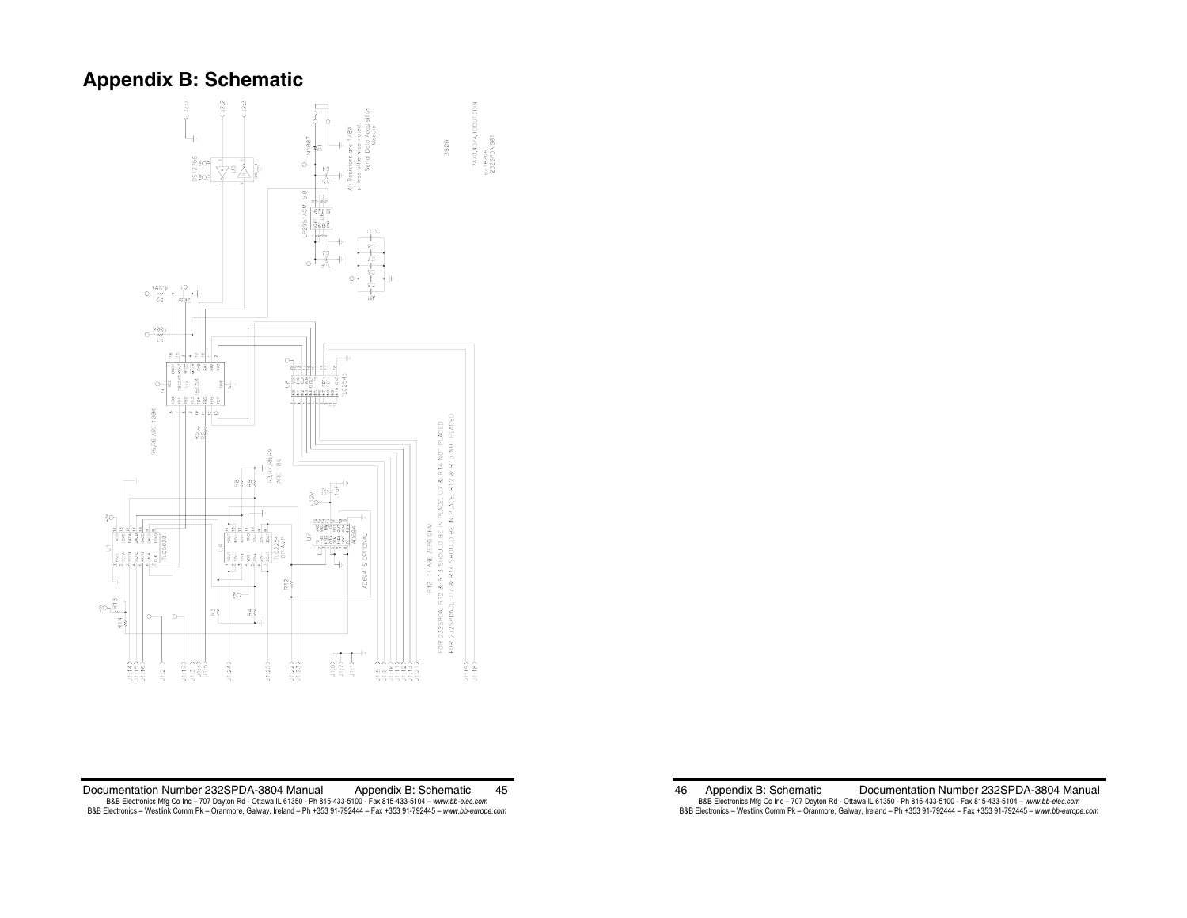# **Appendix B: Schematic**



Documentation Number 232SPDA-3804 Manual Appendix B: Schematic 45 B&B Electronics Mfg Co Inc – 707 Dayton Rd - Ottawa IL 61350 - Ph 815-433-5100 - Fax 815-433-5104 – www.*bb-elec.com*<br>B&B Electronics – Westlink Comm Pk – Oranmore, Galway, Ireland – Ph +353 91-792444 – Fax +353 91-792445

46 Appendix B: Schematic Documentation Number 232SPDA-3804 Manual B&B Electronics Mfg Co Inc – 707 Dayton Rd - Ottawa IL 61350 - Ph 815-433-5100 - Fax 815-433-5104 – *www.bb-elec.com*<br>B&B Electronics – Westlink Comm Pk – Oranmore, Galway, Ireland – Ph +353 91-792444 – Fax +353 91-792445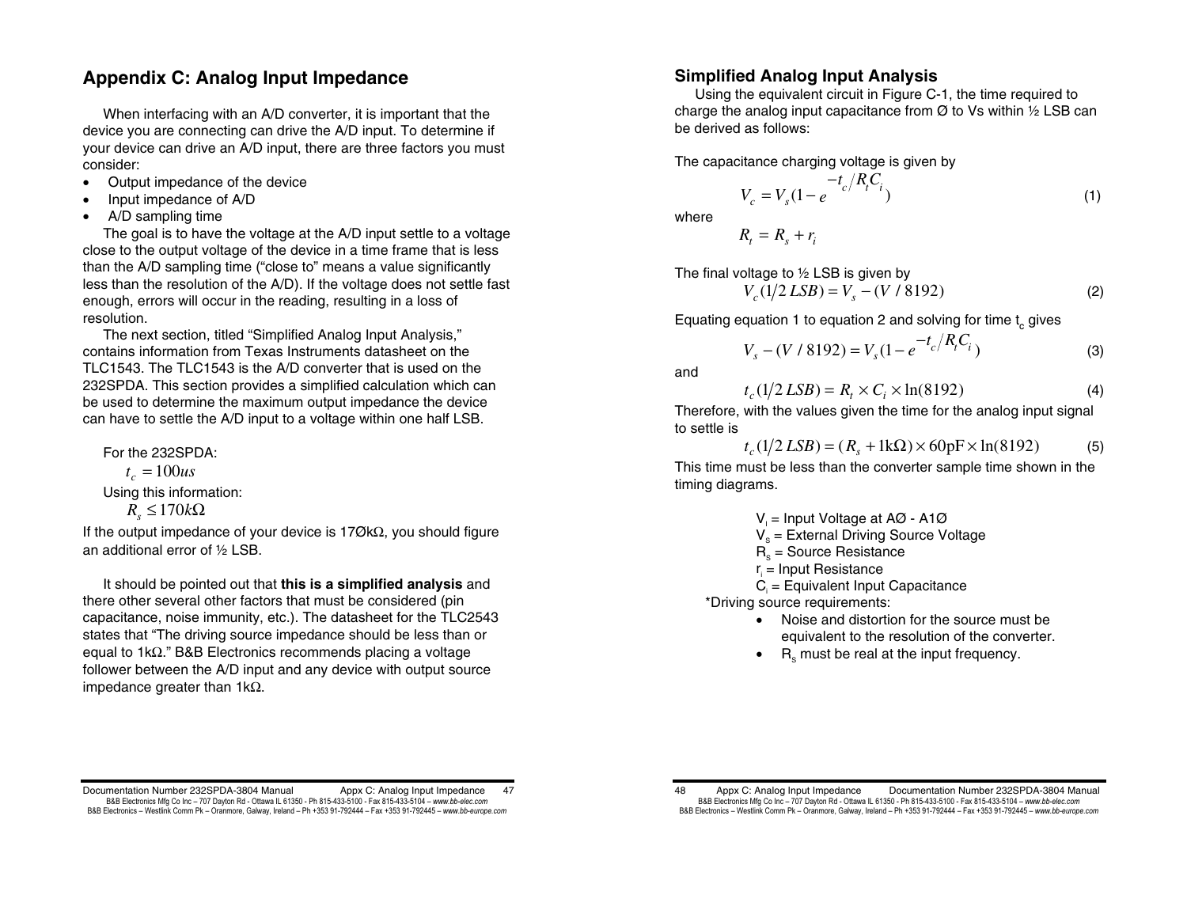# **Appendix C: Analog Input Impedance**

When interfacing with an A/D converter, it is important that the device you are connecting can drive the A/D input. To determine if your device can drive an A/D input, there are three factors you must consider:

- Output impedance of the device
- Input impedance of A/D
- A/D sampling time

The goal is to have the voltage at the A/D input settle to a voltage close to the output voltage of the device in a time frame that is less than the A/D sampling time ("close to" means a value significantly less than the resolution of the A/D). If the voltage does not settle fast enough, errors will occur in the reading, resulting in a loss of resolution.

The next section, titled "Simplified Analog Input Analysis," contains information from Texas Instruments datasheet on the TLC1543. The TLC1543 is the A/D converter that is used on the 232SPDA. This section provides a simplified calculation which can be used to determine the maximum output impedance the device can have to settle the A/D input to a voltage within one half LSB.

For the 232SPDA:  $t_c = 100us$ Using this information:  $R_s$  ≤ 170 $k\Omega$ 

If the output impedance of your device is 17ØkΩ, you should figure an additional error of ½ LSB.

 It should be pointed out that **this is a simplified analysis** and there other several other factors that must be considered (pin capacitance, noise immunity, etc.). The datasheet for the TLC2543 states that "The driving source impedance should be less than or equal to 1kΩ." B&B Electronics recommends placing a voltage follower between the A/D input and any device with output source impedance greater than 1kΩ.

# **Simplified Analog Input Analysis**

 Using the equivalent circuit in Figure C-1, the time required to charge the analog input capacitance from  $\varnothing$  to Vs within  $\frac{1}{2}$  LSB can be derived as follows:

The capacitance charging voltage is given by

$$
V_c = V_s (1 - e^{-t_c/R_i C_i})
$$
 (1)

where

$$
R_t = R_s + r_i
$$

The final voltage to ½ LSB is given by

$$
V_c(1/2\,LSB) = V_s - (V/8192) \tag{2}
$$

Equating equation 1 to equation 2 and solving for time  $t_{\alpha}$  gives

$$
V_s - (V / 8192) = V_s (1 - e^{-t_c / R_t C_i})
$$
 (3)

and

$$
t_c(1/2\,LSB) = R_t \times C_i \times \ln(8192) \tag{4}
$$

Therefore, with the values given the time for the analog input signal to settle is

$$
t_c(1/2\,LSB) = (R_s + 1k\Omega) \times 60pF \times \ln(8192) \tag{5}
$$

This time must be less than the converter sample time shown in the timing diagrams.

- $V_i$  = Input Voltage at AØ A1Ø
- $V<sub>s</sub>$  = External Driving Source Voltage
- $R<sub>s</sub>$  = Source Resistance
- $r =$  Input Resistance
- $C_i$  = Equivalent Input Capacitance

\*Driving source requirements:

- Noise and distortion for the source must be equivalent to the resolution of the converter.
- $\bullet$  R<sub>s</sub> must be real at the input frequency.

Documentation Number 232SPDA-3804 Manual Appx C: Analog Input Impedance 47 B&B Electronics Mfg Co Inc – 707 Dayton Rd - Ottawa IL 61350 - Ph 815-433-5100 - Fax 815-433-5104 – *www.bb-elec.com* B&B Electronics - Westlink Comm Pk - Oranmore, Galway, Ireland - Ph +353 91-792444 - Fax +353 91-792445 - www.bb-europe.com

<sup>48</sup> Appx C: Analog Input Impedance Documentation Number 232SPDA-3804 Manual B&B Electronics Mfg Co Inc – 707 Dayton Rd - Ottawa IL 61350 - Ph 815-433-5100 - Fax 815-433-5104 – *www.bb-elec.com* B&B Electronics - Westlink Comm Pk - Oranmore, Galway, Ireland - Ph +353 91-792444 - Fax +353 91-792445 - www.bb-europe.com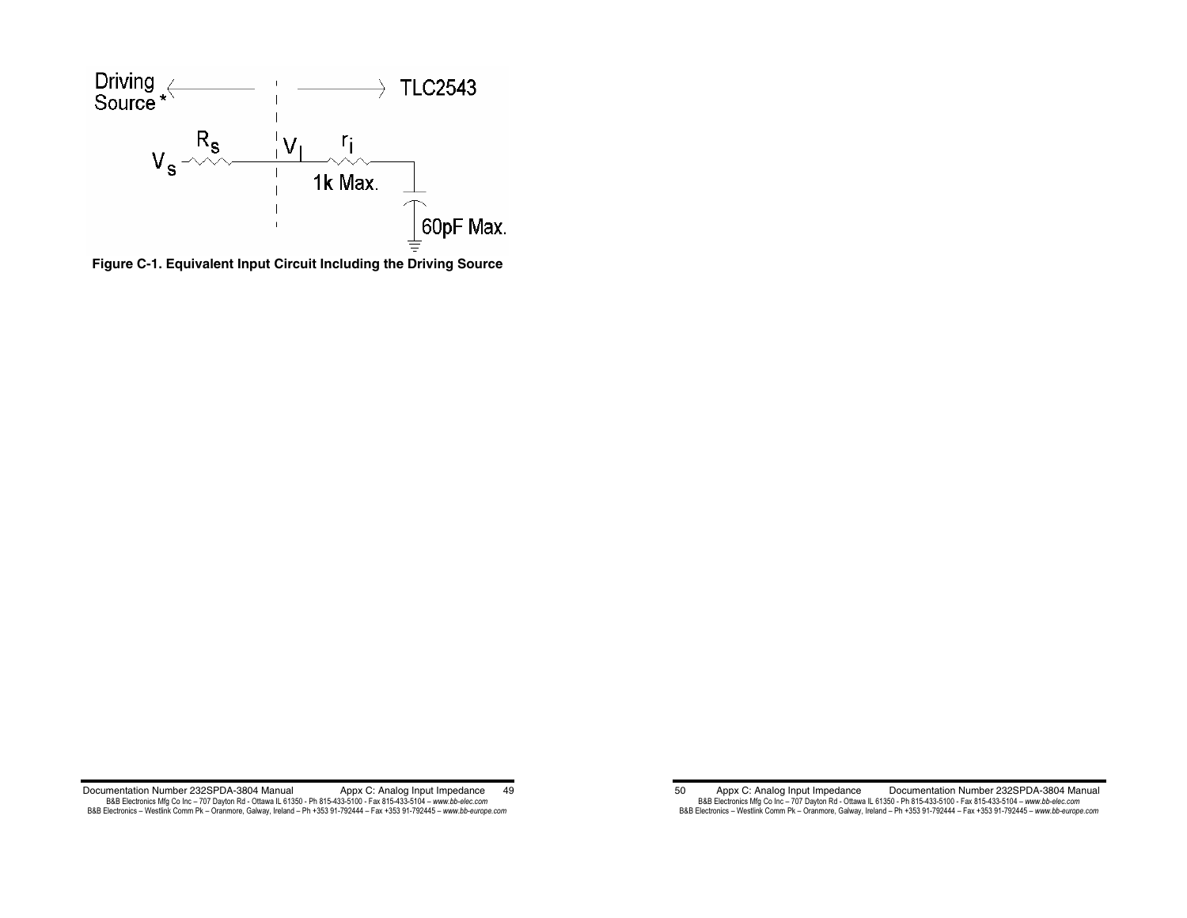

**Figure C-1. Equivalent Input Circuit Including the Driving Source** 

Documentation Number 232SPDA-3804 Manual Appx C: Analog Input Impedance 49 B&B Electronics Mfg Co Inc – 707 Dayton Rd - Ottawa IL 61350 - Ph 815-433-5100 - Fax 815-433-5104 – www.*bb-elec.com*<br>B&B Electronics – Westlink Comm Pk – Oranmore, Galway, Ireland – Ph +353 91-792444 – Fax +353 91-792445

<sup>50</sup> Appx C: Analog Input Impedance Documentation Number 232SPDA-3804 Manual B&B Electronics Mfg Co Inc – 707 Dayton Rd - Ottawa IL 61350 - Ph 815-433-5100 - Fax 815-433-5104 – *www.bb-elec.com*<br>B&B Electronics – Westlink Comm Pk – Oranmore, Galway, Ireland – Ph +353 91-792444 – Fax +353 91-792445